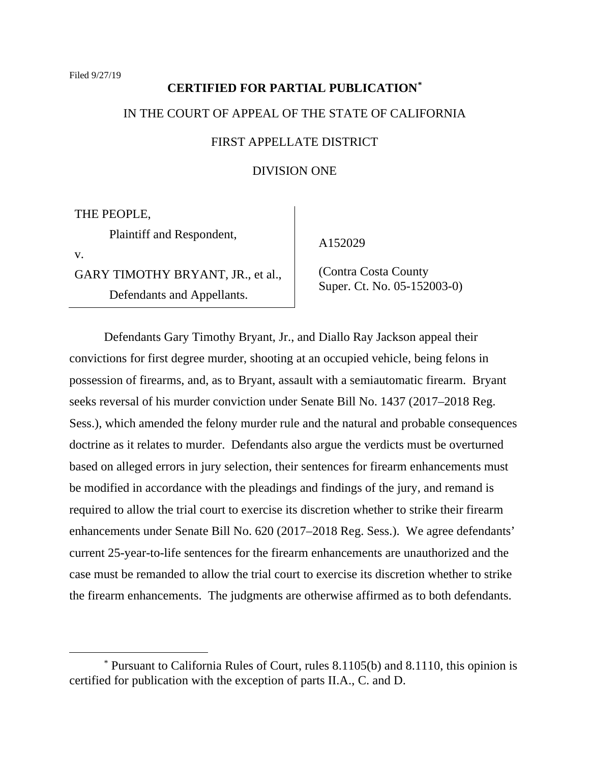# **CERTIFIED FOR PARTIAL PUBLICATION[\\*](#page-0-0)** IN THE COURT OF APPEAL OF THE STATE OF CALIFORNIA

# FIRST APPELLATE DISTRICT

## DIVISION ONE

THE PEOPLE,

Plaintiff and Respondent,

v.

GARY TIMOTHY BRYANT, JR., et al., Defendants and Appellants.

A152029

 (Contra Costa County Super. Ct. No. 05-152003-0)

Defendants Gary Timothy Bryant, Jr., and Diallo Ray Jackson appeal their convictions for first degree murder, shooting at an occupied vehicle, being felons in possession of firearms, and, as to Bryant, assault with a semiautomatic firearm. Bryant seeks reversal of his murder conviction under Senate Bill No. 1437 (2017–2018 Reg. Sess.), which amended the felony murder rule and the natural and probable consequences doctrine as it relates to murder. Defendants also argue the verdicts must be overturned based on alleged errors in jury selection, their sentences for firearm enhancements must be modified in accordance with the pleadings and findings of the jury, and remand is required to allow the trial court to exercise its discretion whether to strike their firearm enhancements under Senate Bill No. 620 (2017–2018 Reg. Sess.). We agree defendants' current 25-year-to-life sentences for the firearm enhancements are unauthorized and the case must be remanded to allow the trial court to exercise its discretion whether to strike the firearm enhancements. The judgments are otherwise affirmed as to both defendants.

<span id="page-0-0"></span><sup>\*</sup> Pursuant to California Rules of Court, rules 8.1105(b) and 8.1110, this opinion is certified for publication with the exception of parts II.A., C. and D.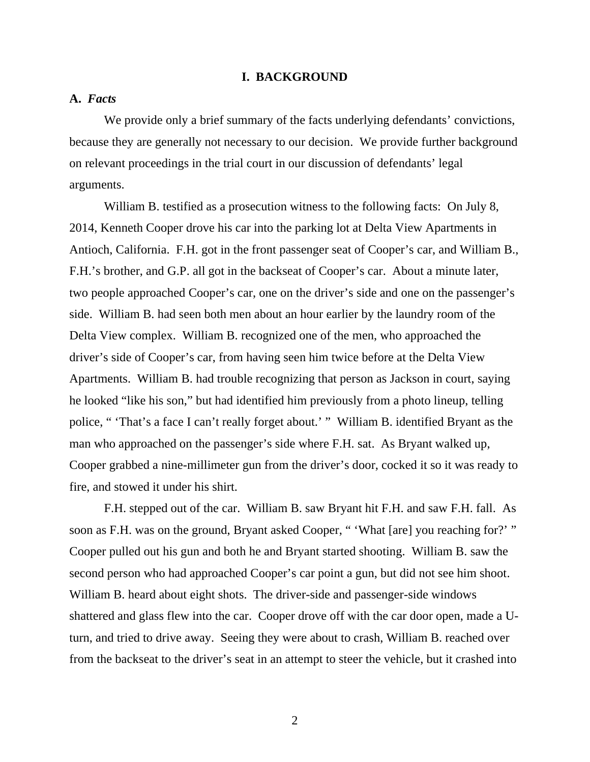## **I. BACKGROUND**

## **A.** *Facts*

We provide only a brief summary of the facts underlying defendants' convictions, because they are generally not necessary to our decision. We provide further background on relevant proceedings in the trial court in our discussion of defendants' legal arguments.

William B. testified as a prosecution witness to the following facts: On July 8, 2014, Kenneth Cooper drove his car into the parking lot at Delta View Apartments in Antioch, California. F.H. got in the front passenger seat of Cooper's car, and William B., F.H.'s brother, and G.P. all got in the backseat of Cooper's car. About a minute later, two people approached Cooper's car, one on the driver's side and one on the passenger's side. William B. had seen both men about an hour earlier by the laundry room of the Delta View complex. William B. recognized one of the men, who approached the driver's side of Cooper's car, from having seen him twice before at the Delta View Apartments. William B. had trouble recognizing that person as Jackson in court, saying he looked "like his son," but had identified him previously from a photo lineup, telling police, " 'That's a face I can't really forget about.' " William B. identified Bryant as the man who approached on the passenger's side where F.H. sat. As Bryant walked up, Cooper grabbed a nine-millimeter gun from the driver's door, cocked it so it was ready to fire, and stowed it under his shirt.

F.H. stepped out of the car. William B. saw Bryant hit F.H. and saw F.H. fall. As soon as F.H. was on the ground, Bryant asked Cooper, " 'What [are] you reaching for?' " Cooper pulled out his gun and both he and Bryant started shooting. William B. saw the second person who had approached Cooper's car point a gun, but did not see him shoot. William B. heard about eight shots. The driver-side and passenger-side windows shattered and glass flew into the car. Cooper drove off with the car door open, made a Uturn, and tried to drive away. Seeing they were about to crash, William B. reached over from the backseat to the driver's seat in an attempt to steer the vehicle, but it crashed into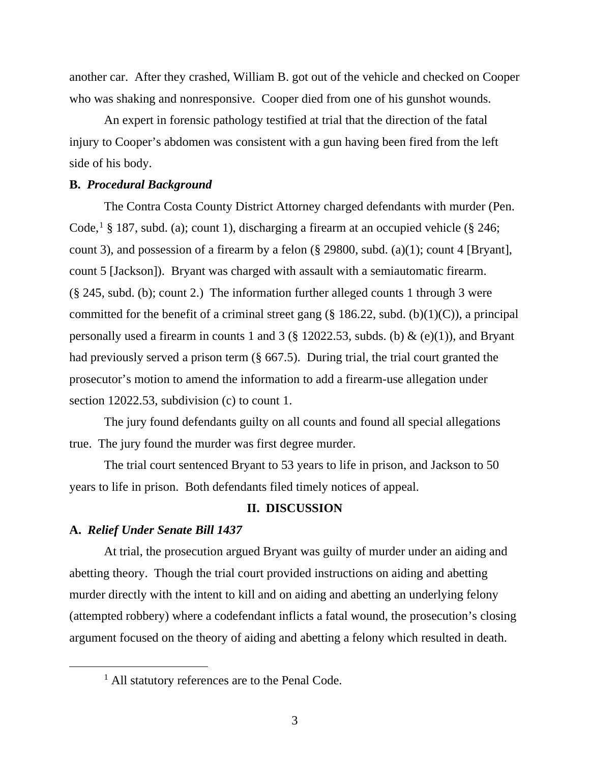another car. After they crashed, William B. got out of the vehicle and checked on Cooper who was shaking and nonresponsive. Cooper died from one of his gunshot wounds.

An expert in forensic pathology testified at trial that the direction of the fatal injury to Cooper's abdomen was consistent with a gun having been fired from the left side of his body.

## **B.** *Procedural Background*

The Contra Costa County District Attorney charged defendants with murder (Pen. Code,<sup>[1](#page-2-0)</sup> § 187, subd. (a); count 1), discharging a firearm at an occupied vehicle (§ 246; count 3), and possession of a firearm by a felon  $(\S$  29800, subd. (a)(1); count 4 [Bryant], count 5 [Jackson]). Bryant was charged with assault with a semiautomatic firearm. (§ 245, subd. (b); count 2.) The information further alleged counts 1 through 3 were committed for the benefit of a criminal street gang  $(\S 186.22, \text{subd. (b)}(1)(C))$ , a principal personally used a firearm in counts 1 and 3 ( $\S$  12022.53, subds. (b) & (e)(1)), and Bryant had previously served a prison term (§ 667.5). During trial, the trial court granted the prosecutor's motion to amend the information to add a firearm-use allegation under section 12022.53, subdivision (c) to count 1.

The jury found defendants guilty on all counts and found all special allegations true. The jury found the murder was first degree murder.

The trial court sentenced Bryant to 53 years to life in prison, and Jackson to 50 years to life in prison. Both defendants filed timely notices of appeal.

# **II. DISCUSSION**

## **A.** *Relief Under Senate Bill 1437*

At trial, the prosecution argued Bryant was guilty of murder under an aiding and abetting theory. Though the trial court provided instructions on aiding and abetting murder directly with the intent to kill and on aiding and abetting an underlying felony (attempted robbery) where a codefendant inflicts a fatal wound, the prosecution's closing argument focused on the theory of aiding and abetting a felony which resulted in death.

<span id="page-2-0"></span><sup>&</sup>lt;sup>1</sup> All statutory references are to the Penal Code.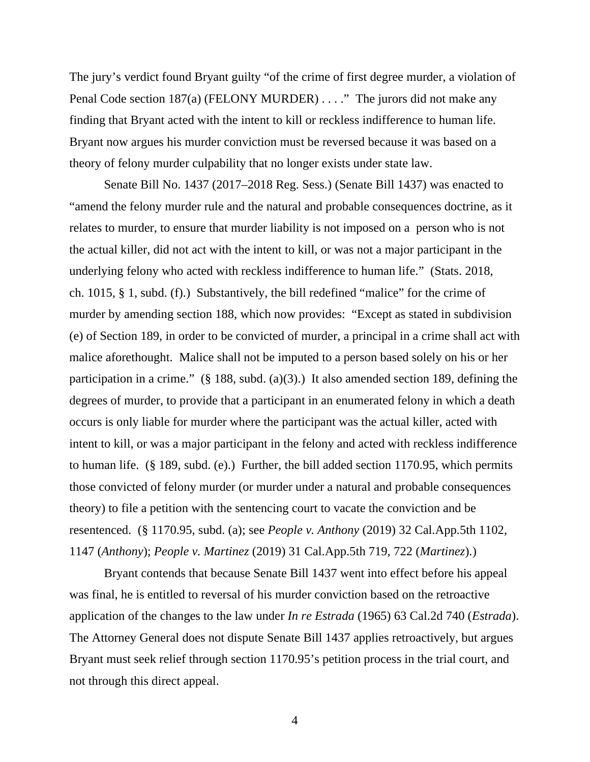The jury's verdict found Bryant guilty "of the crime of first degree murder, a violation of Penal Code section 187(a) (FELONY MURDER) . . . ." The jurors did not make any finding that Bryant acted with the intent to kill or reckless indifference to human life. Bryant now argues his murder conviction must be reversed because it was based on a theory of felony murder culpability that no longer exists under state law.

Senate Bill No. 1437 (2017–2018 Reg. Sess.) (Senate Bill 1437) was enacted to "amend the felony murder rule and the natural and probable consequences doctrine, as it relates to murder, to ensure that murder liability is not imposed on a person who is not the actual killer, did not act with the intent to kill, or was not a major participant in the underlying felony who acted with reckless indifference to human life." (Stats. 2018, ch. 1015, § 1, subd. (f).) Substantively, the bill redefined "malice" for the crime of murder by amending section 188, which now provides: "Except as stated in subdivision (e) of Section 189, in order to be convicted of murder, a principal in a crime shall act with malice aforethought. Malice shall not be imputed to a person based solely on his or her participation in a crime." (§ 188, subd. (a)(3).) It also amended section 189, defining the degrees of murder, to provide that a participant in an enumerated felony in which a death occurs is only liable for murder where the participant was the actual killer, acted with intent to kill, or was a major participant in the felony and acted with reckless indifference to human life. (§ 189, subd. (e).) Further, the bill added section 1170.95, which permits those convicted of felony murder (or murder under a natural and probable consequences theory) to file a petition with the sentencing court to vacate the conviction and be resentenced. (§ 1170.95, subd. (a); see *People v. Anthony* (2019) 32 Cal.App.5th 1102, 1147 (*Anthony*); *People v. Martinez* (2019) 31 Cal.App.5th 719, 722 (*Martinez*).)

Bryant contends that because Senate Bill 1437 went into effect before his appeal was final, he is entitled to reversal of his murder conviction based on the retroactive application of the changes to the law under *In re Estrada* (1965) 63 Cal.2d 740 (*Estrada*). The Attorney General does not dispute Senate Bill 1437 applies retroactively, but argues Bryant must seek relief through section 1170.95's petition process in the trial court, and not through this direct appeal.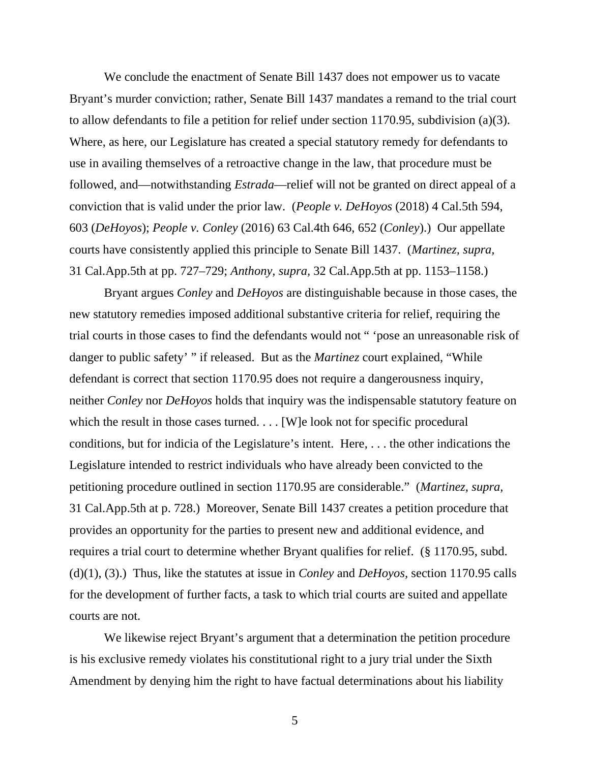We conclude the enactment of Senate Bill 1437 does not empower us to vacate Bryant's murder conviction; rather, Senate Bill 1437 mandates a remand to the trial court to allow defendants to file a petition for relief under section 1170.95, subdivision (a)(3). Where, as here, our Legislature has created a special statutory remedy for defendants to use in availing themselves of a retroactive change in the law, that procedure must be followed, and—notwithstanding *Estrada*—relief will not be granted on direct appeal of a conviction that is valid under the prior law. (*People v. DeHoyos* (2018) 4 Cal.5th 594, 603 (*DeHoyos*); *People v. Conley* (2016) 63 Cal.4th 646, 652 (*Conley*).) Our appellate courts have consistently applied this principle to Senate Bill 1437. (*Martinez, supra,*  31 Cal.App.5th at pp. 727–729; *Anthony, supra,* 32 Cal.App.5th at pp. 1153–1158.)

Bryant argues *Conley* and *DeHoyos* are distinguishable because in those cases, the new statutory remedies imposed additional substantive criteria for relief, requiring the trial courts in those cases to find the defendants would not " 'pose an unreasonable risk of danger to public safety' " if released. But as the *Martinez* court explained, "While defendant is correct that section 1170.95 does not require a dangerousness inquiry, neither *Conley* nor *DeHoyos* holds that inquiry was the indispensable statutory feature on which the result in those cases turned. . . . [W]e look not for specific procedural conditions, but for indicia of the Legislature's intent. Here, . . . the other indications the Legislature intended to restrict individuals who have already been convicted to the petitioning procedure outlined in section 1170.95 are considerable." (*Martinez, supra,*  31 Cal.App.5th at p. 728.) Moreover, Senate Bill 1437 creates a petition procedure that provides an opportunity for the parties to present new and additional evidence, and requires a trial court to determine whether Bryant qualifies for relief. (§ 1170.95, subd. (d)(1), (3).) Thus, like the statutes at issue in *Conley* and *DeHoyos,* section 1170.95 calls for the development of further facts, a task to which trial courts are suited and appellate courts are not.

We likewise reject Bryant's argument that a determination the petition procedure is his exclusive remedy violates his constitutional right to a jury trial under the Sixth Amendment by denying him the right to have factual determinations about his liability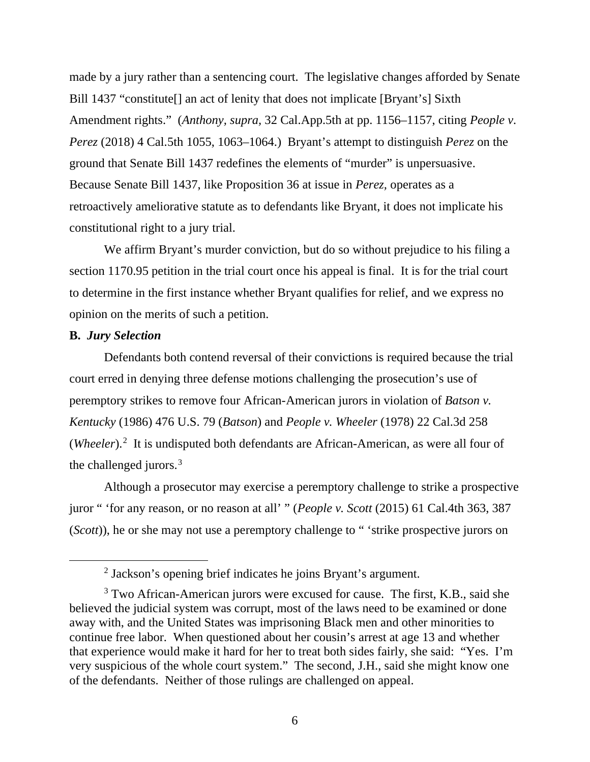made by a jury rather than a sentencing court. The legislative changes afforded by Senate Bill 1437 "constitute[] an act of lenity that does not implicate [Bryant's] Sixth Amendment rights." (*Anthony, supra,* 32 Cal.App.5th at pp. 1156–1157, citing *People v. Perez* (2018) 4 Cal.5th 1055, 1063–1064.) Bryant's attempt to distinguish *Perez* on the ground that Senate Bill 1437 redefines the elements of "murder" is unpersuasive. Because Senate Bill 1437, like Proposition 36 at issue in *Perez,* operates as a retroactively ameliorative statute as to defendants like Bryant, it does not implicate his constitutional right to a jury trial.

We affirm Bryant's murder conviction, but do so without prejudice to his filing a section 1170.95 petition in the trial court once his appeal is final. It is for the trial court to determine in the first instance whether Bryant qualifies for relief, and we express no opinion on the merits of such a petition.

## **B.** *Jury Selection*

Defendants both contend reversal of their convictions is required because the trial court erred in denying three defense motions challenging the prosecution's use of peremptory strikes to remove four African-American jurors in violation of *Batson v. Kentucky* (1986) 476 U.S. 79 (*Batson*) and *People v. Wheeler* (1978) 22 Cal.3d 258 (*Wheeler*).<sup>[2](#page-5-0)</sup> It is undisputed both defendants are African-American, as were all four of the challenged jurors.<sup>[3](#page-5-1)</sup>

Although a prosecutor may exercise a peremptory challenge to strike a prospective juror " 'for any reason, or no reason at all' " (*People v. Scott* (2015) 61 Cal.4th 363, 387 (*Scott*)), he or she may not use a peremptory challenge to " 'strike prospective jurors on

<sup>2</sup> Jackson's opening brief indicates he joins Bryant's argument.

<span id="page-5-1"></span><span id="page-5-0"></span><sup>&</sup>lt;sup>3</sup> Two African-American jurors were excused for cause. The first, K.B., said she believed the judicial system was corrupt, most of the laws need to be examined or done away with, and the United States was imprisoning Black men and other minorities to continue free labor. When questioned about her cousin's arrest at age 13 and whether that experience would make it hard for her to treat both sides fairly, she said: "Yes. I'm very suspicious of the whole court system." The second, J.H., said she might know one of the defendants. Neither of those rulings are challenged on appeal.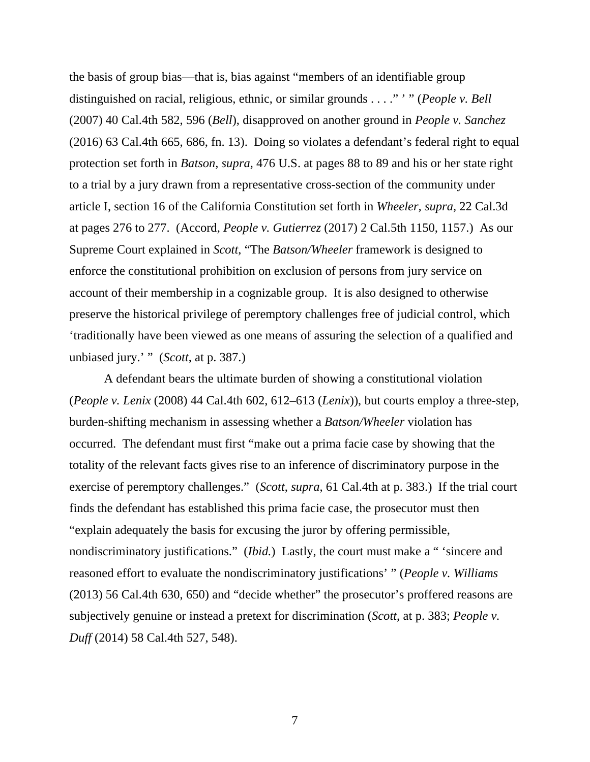the basis of group bias—that is, bias against "members of an identifiable group distinguished on racial, religious, ethnic, or similar grounds . . . ." ' " (*People v. Bell*  (2007) 40 Cal.4th 582, 596 (*Bell*), disapproved on another ground in *People v. Sanchez*  (2016) 63 Cal.4th 665, 686, fn. 13). Doing so violates a defendant's federal right to equal protection set forth in *Batson, supra,* 476 U.S. at pages 88 to 89 and his or her state right to a trial by a jury drawn from a representative cross-section of the community under article I, section 16 of the California Constitution set forth in *Wheeler, supra,* 22 Cal.3d at pages 276 to 277. (Accord, *People v. Gutierrez* (2017) 2 Cal.5th 1150, 1157.) As our Supreme Court explained in *Scott*, "The *Batson/Wheeler* framework is designed to enforce the constitutional prohibition on exclusion of persons from jury service on account of their membership in a cognizable group. It is also designed to otherwise preserve the historical privilege of peremptory challenges free of judicial control, which 'traditionally have been viewed as one means of assuring the selection of a qualified and unbiased jury.' " (*Scott*, at p. 387.)

A defendant bears the ultimate burden of showing a constitutional violation (*People v. Lenix* (2008) 44 Cal.4th 602, 612–613 (*Lenix*)), but courts employ a three-step, burden-shifting mechanism in assessing whether a *Batson/Wheeler* violation has occurred. The defendant must first "make out a prima facie case by showing that the totality of the relevant facts gives rise to an inference of discriminatory purpose in the exercise of peremptory challenges." (*Scott*, *supra*, 61 Cal.4th at p. 383.) If the trial court finds the defendant has established this prima facie case, the prosecutor must then "explain adequately the basis for excusing the juror by offering permissible, nondiscriminatory justifications." (*Ibid.*) Lastly, the court must make a " 'sincere and reasoned effort to evaluate the nondiscriminatory justifications' " (*People v. Williams*  (2013) 56 Cal.4th 630, 650) and "decide whether" the prosecutor's proffered reasons are subjectively genuine or instead a pretext for discrimination (*Scott*, at p. 383; *People v. Duff* (2014) 58 Cal.4th 527, 548).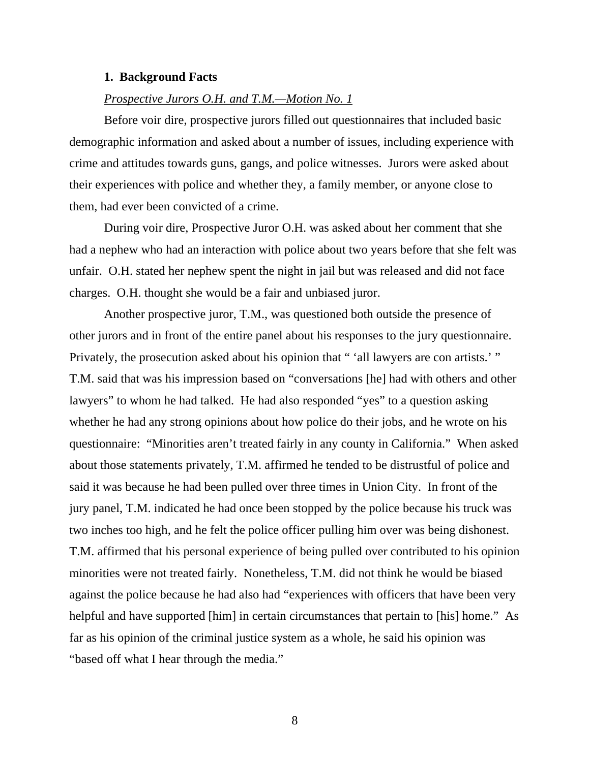#### **1. Background Facts**

#### *Prospective Jurors O.H. and T.M.—Motion No. 1*

Before voir dire, prospective jurors filled out questionnaires that included basic demographic information and asked about a number of issues, including experience with crime and attitudes towards guns, gangs, and police witnesses. Jurors were asked about their experiences with police and whether they, a family member, or anyone close to them, had ever been convicted of a crime.

During voir dire, Prospective Juror O.H. was asked about her comment that she had a nephew who had an interaction with police about two years before that she felt was unfair. O.H. stated her nephew spent the night in jail but was released and did not face charges. O.H. thought she would be a fair and unbiased juror.

Another prospective juror, T.M., was questioned both outside the presence of other jurors and in front of the entire panel about his responses to the jury questionnaire. Privately, the prosecution asked about his opinion that "'all lawyers are con artists.' " T.M. said that was his impression based on "conversations [he] had with others and other lawyers" to whom he had talked. He had also responded "yes" to a question asking whether he had any strong opinions about how police do their jobs, and he wrote on his questionnaire: "Minorities aren't treated fairly in any county in California." When asked about those statements privately, T.M. affirmed he tended to be distrustful of police and said it was because he had been pulled over three times in Union City. In front of the jury panel, T.M. indicated he had once been stopped by the police because his truck was two inches too high, and he felt the police officer pulling him over was being dishonest. T.M. affirmed that his personal experience of being pulled over contributed to his opinion minorities were not treated fairly. Nonetheless, T.M. did not think he would be biased against the police because he had also had "experiences with officers that have been very helpful and have supported [him] in certain circumstances that pertain to [his] home." As far as his opinion of the criminal justice system as a whole, he said his opinion was "based off what I hear through the media."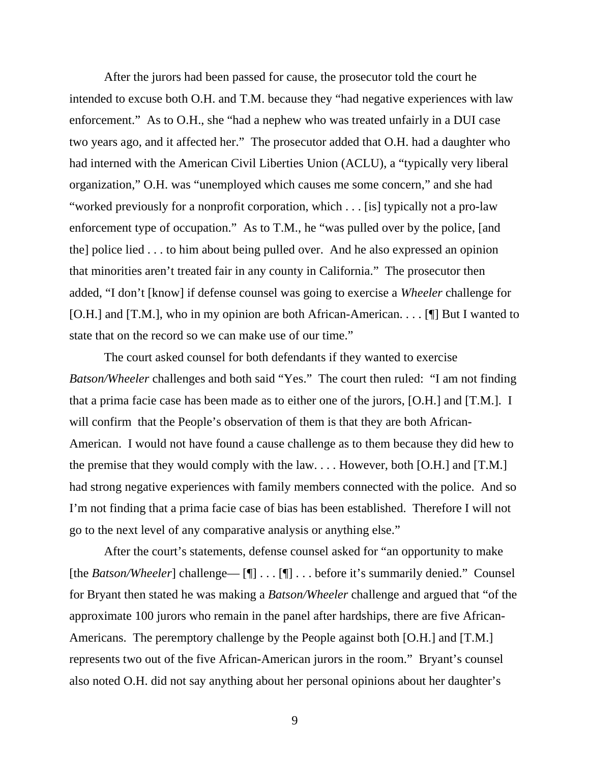After the jurors had been passed for cause, the prosecutor told the court he intended to excuse both O.H. and T.M. because they "had negative experiences with law enforcement." As to O.H., she "had a nephew who was treated unfairly in a DUI case two years ago, and it affected her." The prosecutor added that O.H. had a daughter who had interned with the American Civil Liberties Union (ACLU), a "typically very liberal organization," O.H. was "unemployed which causes me some concern," and she had "worked previously for a nonprofit corporation, which . . . [is] typically not a pro-law enforcement type of occupation." As to T.M., he "was pulled over by the police, [and the] police lied . . . to him about being pulled over. And he also expressed an opinion that minorities aren't treated fair in any county in California." The prosecutor then added, "I don't [know] if defense counsel was going to exercise a *Wheeler* challenge for [O.H.] and [T.M.], who in my opinion are both African-American. . . . [¶] But I wanted to state that on the record so we can make use of our time."

The court asked counsel for both defendants if they wanted to exercise *Batson/Wheeler* challenges and both said "Yes." The court then ruled: "I am not finding that a prima facie case has been made as to either one of the jurors, [O.H.] and [T.M.]. I will confirm that the People's observation of them is that they are both African-American. I would not have found a cause challenge as to them because they did hew to the premise that they would comply with the law. . . . However, both [O.H.] and [T.M.] had strong negative experiences with family members connected with the police. And so I'm not finding that a prima facie case of bias has been established. Therefore I will not go to the next level of any comparative analysis or anything else."

After the court's statements, defense counsel asked for "an opportunity to make [the *Batson/Wheeler*] challenge— [¶] . . . [¶] . . . before it's summarily denied." Counsel for Bryant then stated he was making a *Batson/Wheeler* challenge and argued that "of the approximate 100 jurors who remain in the panel after hardships, there are five African-Americans. The peremptory challenge by the People against both [O.H.] and [T.M.] represents two out of the five African-American jurors in the room." Bryant's counsel also noted O.H. did not say anything about her personal opinions about her daughter's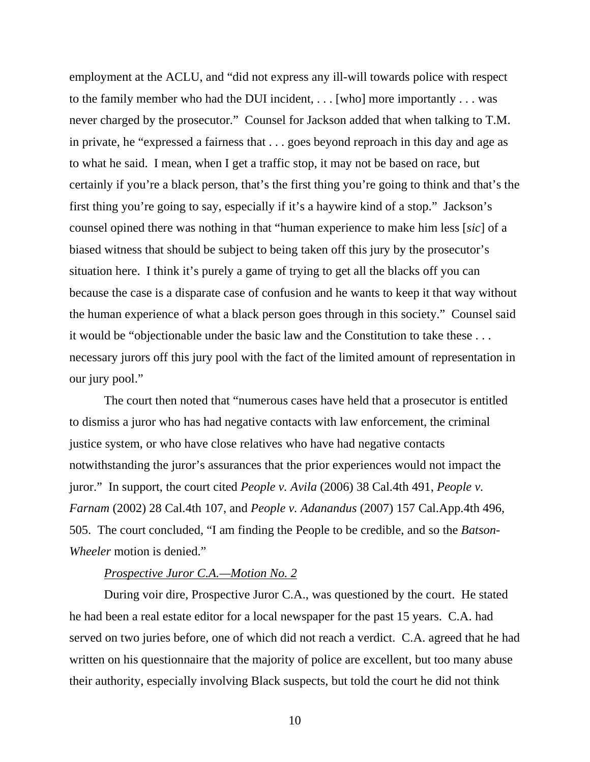employment at the ACLU, and "did not express any ill-will towards police with respect to the family member who had the DUI incident, . . . [who] more importantly . . . was never charged by the prosecutor." Counsel for Jackson added that when talking to T.M. in private, he "expressed a fairness that . . . goes beyond reproach in this day and age as to what he said. I mean, when I get a traffic stop, it may not be based on race, but certainly if you're a black person, that's the first thing you're going to think and that's the first thing you're going to say, especially if it's a haywire kind of a stop." Jackson's counsel opined there was nothing in that "human experience to make him less [*sic*] of a biased witness that should be subject to being taken off this jury by the prosecutor's situation here. I think it's purely a game of trying to get all the blacks off you can because the case is a disparate case of confusion and he wants to keep it that way without the human experience of what a black person goes through in this society." Counsel said it would be "objectionable under the basic law and the Constitution to take these . . . necessary jurors off this jury pool with the fact of the limited amount of representation in our jury pool."

The court then noted that "numerous cases have held that a prosecutor is entitled to dismiss a juror who has had negative contacts with law enforcement, the criminal justice system, or who have close relatives who have had negative contacts notwithstanding the juror's assurances that the prior experiences would not impact the juror." In support, the court cited *People v. Avila* (2006) 38 Cal.4th 491, *People v. Farnam* (2002) 28 Cal.4th 107, and *People v. Adanandus* (2007) 157 Cal.App.4th 496, 505. The court concluded, "I am finding the People to be credible, and so the *Batson-Wheeler* motion is denied."

## *Prospective Juror C.A.—Motion No. 2*

During voir dire, Prospective Juror C.A., was questioned by the court. He stated he had been a real estate editor for a local newspaper for the past 15 years. C.A. had served on two juries before, one of which did not reach a verdict. C.A. agreed that he had written on his questionnaire that the majority of police are excellent, but too many abuse their authority, especially involving Black suspects, but told the court he did not think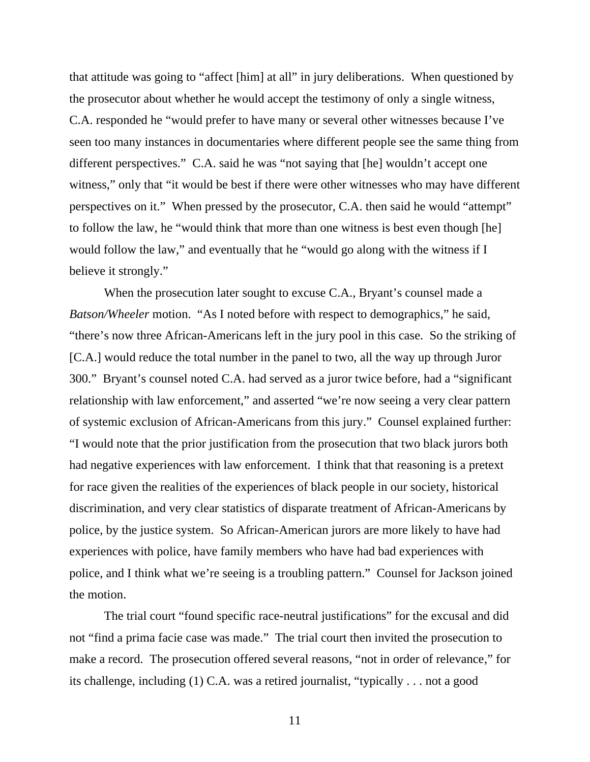that attitude was going to "affect [him] at all" in jury deliberations. When questioned by the prosecutor about whether he would accept the testimony of only a single witness, C.A. responded he "would prefer to have many or several other witnesses because I've seen too many instances in documentaries where different people see the same thing from different perspectives." C.A. said he was "not saying that [he] wouldn't accept one witness," only that "it would be best if there were other witnesses who may have different perspectives on it." When pressed by the prosecutor, C.A. then said he would "attempt" to follow the law, he "would think that more than one witness is best even though [he] would follow the law," and eventually that he "would go along with the witness if I believe it strongly."

When the prosecution later sought to excuse C.A., Bryant's counsel made a *Batson/Wheeler* motion. "As I noted before with respect to demographics," he said, "there's now three African-Americans left in the jury pool in this case. So the striking of [C.A.] would reduce the total number in the panel to two, all the way up through Juror 300." Bryant's counsel noted C.A. had served as a juror twice before, had a "significant relationship with law enforcement," and asserted "we're now seeing a very clear pattern of systemic exclusion of African-Americans from this jury." Counsel explained further: "I would note that the prior justification from the prosecution that two black jurors both had negative experiences with law enforcement. I think that that reasoning is a pretext for race given the realities of the experiences of black people in our society, historical discrimination, and very clear statistics of disparate treatment of African-Americans by police, by the justice system. So African-American jurors are more likely to have had experiences with police, have family members who have had bad experiences with police, and I think what we're seeing is a troubling pattern." Counsel for Jackson joined the motion.

The trial court "found specific race-neutral justifications" for the excusal and did not "find a prima facie case was made." The trial court then invited the prosecution to make a record. The prosecution offered several reasons, "not in order of relevance," for its challenge, including (1) C.A. was a retired journalist, "typically . . . not a good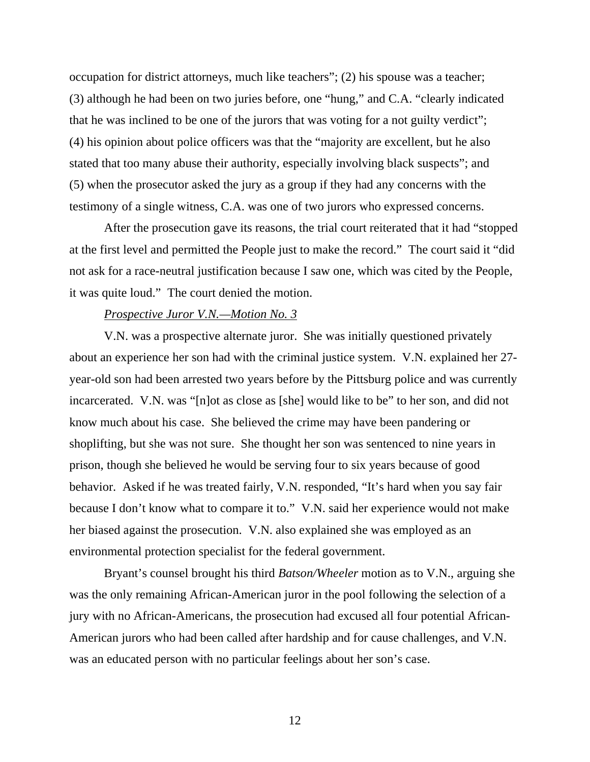occupation for district attorneys, much like teachers"; (2) his spouse was a teacher; (3) although he had been on two juries before, one "hung," and C.A. "clearly indicated that he was inclined to be one of the jurors that was voting for a not guilty verdict"; (4) his opinion about police officers was that the "majority are excellent, but he also stated that too many abuse their authority, especially involving black suspects"; and (5) when the prosecutor asked the jury as a group if they had any concerns with the testimony of a single witness, C.A. was one of two jurors who expressed concerns.

After the prosecution gave its reasons, the trial court reiterated that it had "stopped at the first level and permitted the People just to make the record." The court said it "did not ask for a race-neutral justification because I saw one, which was cited by the People, it was quite loud." The court denied the motion.

## *Prospective Juror V.N.—Motion No. 3*

V.N. was a prospective alternate juror. She was initially questioned privately about an experience her son had with the criminal justice system. V.N. explained her 27 year-old son had been arrested two years before by the Pittsburg police and was currently incarcerated. V.N. was "[n]ot as close as [she] would like to be" to her son, and did not know much about his case. She believed the crime may have been pandering or shoplifting, but she was not sure. She thought her son was sentenced to nine years in prison, though she believed he would be serving four to six years because of good behavior. Asked if he was treated fairly, V.N. responded, "It's hard when you say fair because I don't know what to compare it to." V.N. said her experience would not make her biased against the prosecution. V.N. also explained she was employed as an environmental protection specialist for the federal government.

Bryant's counsel brought his third *Batson/Wheeler* motion as to V.N., arguing she was the only remaining African-American juror in the pool following the selection of a jury with no African-Americans, the prosecution had excused all four potential African-American jurors who had been called after hardship and for cause challenges, and V.N. was an educated person with no particular feelings about her son's case.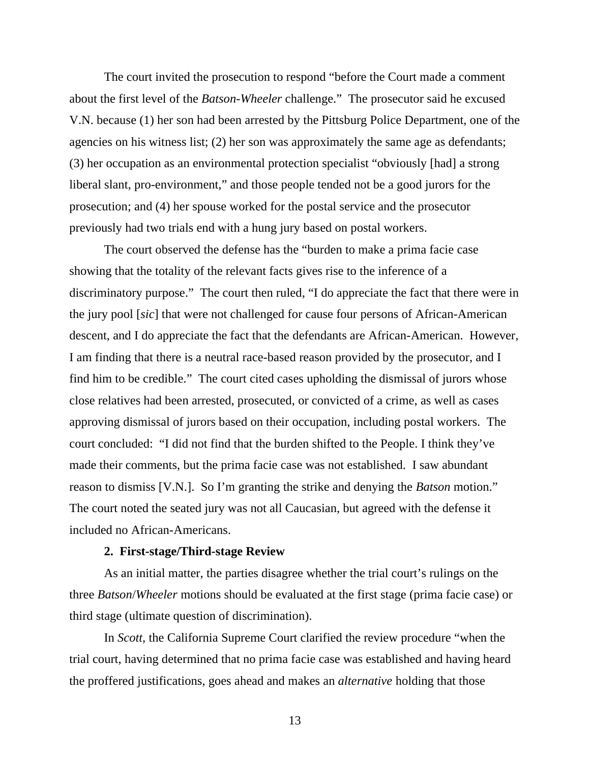The court invited the prosecution to respond "before the Court made a comment about the first level of the *Batson-Wheeler* challenge." The prosecutor said he excused V.N. because (1) her son had been arrested by the Pittsburg Police Department, one of the agencies on his witness list; (2) her son was approximately the same age as defendants; (3) her occupation as an environmental protection specialist "obviously [had] a strong liberal slant, pro-environment," and those people tended not be a good jurors for the prosecution; and (4) her spouse worked for the postal service and the prosecutor previously had two trials end with a hung jury based on postal workers.

The court observed the defense has the "burden to make a prima facie case showing that the totality of the relevant facts gives rise to the inference of a discriminatory purpose." The court then ruled, "I do appreciate the fact that there were in the jury pool [*sic*] that were not challenged for cause four persons of African-American descent, and I do appreciate the fact that the defendants are African-American. However, I am finding that there is a neutral race-based reason provided by the prosecutor, and I find him to be credible." The court cited cases upholding the dismissal of jurors whose close relatives had been arrested, prosecuted, or convicted of a crime, as well as cases approving dismissal of jurors based on their occupation, including postal workers. The court concluded: "I did not find that the burden shifted to the People. I think they've made their comments, but the prima facie case was not established. I saw abundant reason to dismiss [V.N.]. So I'm granting the strike and denying the *Batson* motion." The court noted the seated jury was not all Caucasian, but agreed with the defense it included no African-Americans.

#### **2. First-stage/Third-stage Review**

As an initial matter, the parties disagree whether the trial court's rulings on the three *Batson*/*Wheeler* motions should be evaluated at the first stage (prima facie case) or third stage (ultimate question of discrimination).

In *Scott,* the California Supreme Court clarified the review procedure "when the trial court, having determined that no prima facie case was established and having heard the proffered justifications, goes ahead and makes an *alternative* holding that those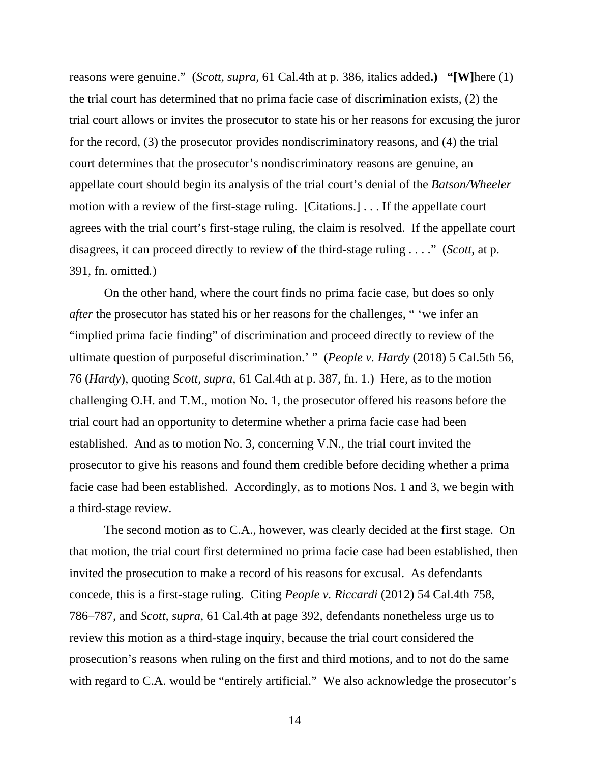reasons were genuine." (*Scott, supra,* 61 Cal.4th at p. 386, italics added**.)****"[W]**here (1) the trial court has determined that no prima facie case of discrimination exists, (2) the trial court allows or invites the prosecutor to state his or her reasons for excusing the juror for the record, (3) the prosecutor provides nondiscriminatory reasons, and (4) the trial court determines that the prosecutor's nondiscriminatory reasons are genuine, an appellate court should begin its analysis of the trial court's denial of the *Batson/Wheeler*  motion with a review of the first-stage ruling. [Citations.] . . . If the appellate court agrees with the trial court's first-stage ruling, the claim is resolved. If the appellate court disagrees, it can proceed directly to review of the third-stage ruling . . . ." (*Scott,* at p. 391, fn. omitted*.*)

On the other hand, where the court finds no prima facie case, but does so only *after* the prosecutor has stated his or her reasons for the challenges, " 'we infer an "implied prima facie finding" of discrimination and proceed directly to review of the ultimate question of purposeful discrimination.' " (*People v. Hardy* (2018) 5 Cal.5th 56, 76 (*Hardy*), quoting *Scott, supra,* 61 Cal.4th at p. 387, fn. 1.) Here, as to the motion challenging O.H. and T.M., motion No. 1, the prosecutor offered his reasons before the trial court had an opportunity to determine whether a prima facie case had been established. And as to motion No. 3, concerning V.N., the trial court invited the prosecutor to give his reasons and found them credible before deciding whether a prima facie case had been established. Accordingly, as to motions Nos. 1 and 3, we begin with a third-stage review.

The second motion as to C.A., however, was clearly decided at the first stage. On that motion, the trial court first determined no prima facie case had been established, then invited the prosecution to make a record of his reasons for excusal. As defendants concede, this is a first-stage ruling*.* Citing *People v. Riccardi* (2012) 54 Cal.4th 758, 786–787*,* and *Scott, supra,* 61 Cal.4th at page 392, defendants nonetheless urge us to review this motion as a third-stage inquiry, because the trial court considered the prosecution's reasons when ruling on the first and third motions, and to not do the same with regard to C.A. would be "entirely artificial." We also acknowledge the prosecutor's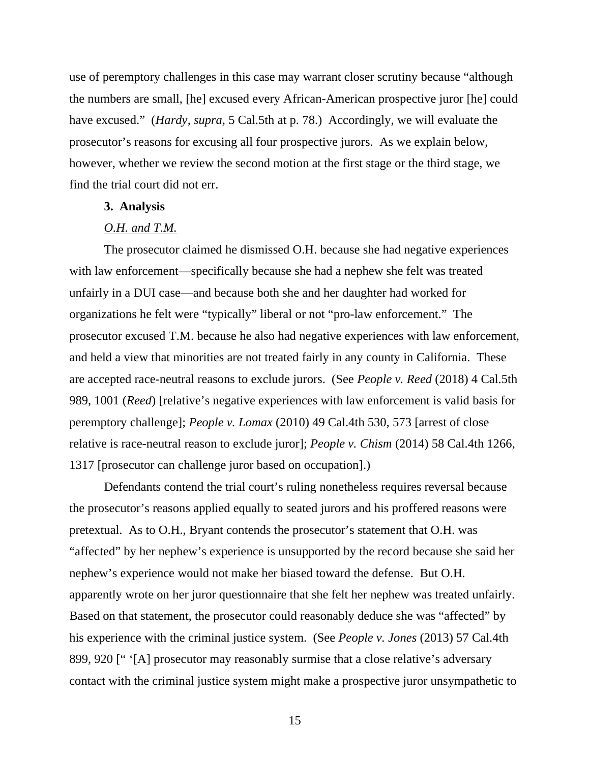use of peremptory challenges in this case may warrant closer scrutiny because "although the numbers are small, [he] excused every African-American prospective juror [he] could have excused." (*Hardy, supra,* 5 Cal.5th at p. 78.) Accordingly, we will evaluate the prosecutor's reasons for excusing all four prospective jurors. As we explain below, however, whether we review the second motion at the first stage or the third stage, we find the trial court did not err.

## **3. Analysis**

## *O.H. and T.M.*

The prosecutor claimed he dismissed O.H. because she had negative experiences with law enforcement—specifically because she had a nephew she felt was treated unfairly in a DUI case—and because both she and her daughter had worked for organizations he felt were "typically" liberal or not "pro-law enforcement." The prosecutor excused T.M. because he also had negative experiences with law enforcement, and held a view that minorities are not treated fairly in any county in California. These are accepted race-neutral reasons to exclude jurors. (See *People v. Reed* (2018) 4 Cal.5th 989, 1001 (*Reed*) [relative's negative experiences with law enforcement is valid basis for peremptory challenge]; *People v. Lomax* (2010) 49 Cal.4th 530, 573 [arrest of close relative is race-neutral reason to exclude juror]; *People v. Chism* (2014) 58 Cal.4th 1266, 1317 [prosecutor can challenge juror based on occupation].)

Defendants contend the trial court's ruling nonetheless requires reversal because the prosecutor's reasons applied equally to seated jurors and his proffered reasons were pretextual. As to O.H., Bryant contends the prosecutor's statement that O.H. was "affected" by her nephew's experience is unsupported by the record because she said her nephew's experience would not make her biased toward the defense. But O.H. apparently wrote on her juror questionnaire that she felt her nephew was treated unfairly. Based on that statement, the prosecutor could reasonably deduce she was "affected" by his experience with the criminal justice system. (See *People v. Jones* (2013) 57 Cal.4th 899, 920 [" '[A] prosecutor may reasonably surmise that a close relative's adversary contact with the criminal justice system might make a prospective juror unsympathetic to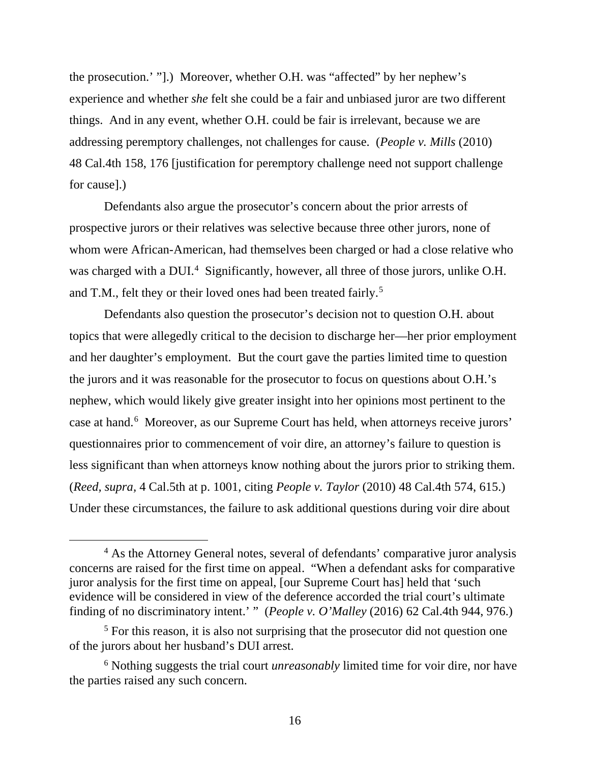the prosecution.' "].) Moreover, whether O.H. was "affected" by her nephew's experience and whether *she* felt she could be a fair and unbiased juror are two different things. And in any event, whether O.H. could be fair is irrelevant, because we are addressing peremptory challenges, not challenges for cause. (*People v. Mills* (2010) 48 Cal.4th 158, 176 [justification for peremptory challenge need not support challenge for cause].)

Defendants also argue the prosecutor's concern about the prior arrests of prospective jurors or their relatives was selective because three other jurors, none of whom were African-American, had themselves been charged or had a close relative who was charged with a DUI.<sup>[4](#page-15-0)</sup> Significantly, however, all three of those jurors, unlike O.H. and T.M., felt they or their loved ones had been treated fairly.<sup>[5](#page-15-1)</sup>

Defendants also question the prosecutor's decision not to question O.H. about topics that were allegedly critical to the decision to discharge her—her prior employment and her daughter's employment. But the court gave the parties limited time to question the jurors and it was reasonable for the prosecutor to focus on questions about O.H.'s nephew, which would likely give greater insight into her opinions most pertinent to the case at hand.<sup>[6](#page-15-2)</sup> Moreover, as our Supreme Court has held, when attorneys receive jurors' questionnaires prior to commencement of voir dire, an attorney's failure to question is less significant than when attorneys know nothing about the jurors prior to striking them. (*Reed, supra,* 4 Cal.5th at p. 1001, citing *People v. Taylor* (2010) 48 Cal.4th 574, 615.) Under these circumstances, the failure to ask additional questions during voir dire about

<span id="page-15-0"></span><sup>&</sup>lt;sup>4</sup> As the Attorney General notes, several of defendants' comparative juror analysis concerns are raised for the first time on appeal. "When a defendant asks for comparative juror analysis for the first time on appeal, [our Supreme Court has] held that 'such evidence will be considered in view of the deference accorded the trial court's ultimate finding of no discriminatory intent.' " (*People v. O'Malley* (2016) 62 Cal.4th 944, 976.)

<span id="page-15-1"></span><sup>&</sup>lt;sup>5</sup> For this reason, it is also not surprising that the prosecutor did not question one of the jurors about her husband's DUI arrest.

<span id="page-15-2"></span><sup>6</sup> Nothing suggests the trial court *unreasonably* limited time for voir dire, nor have the parties raised any such concern.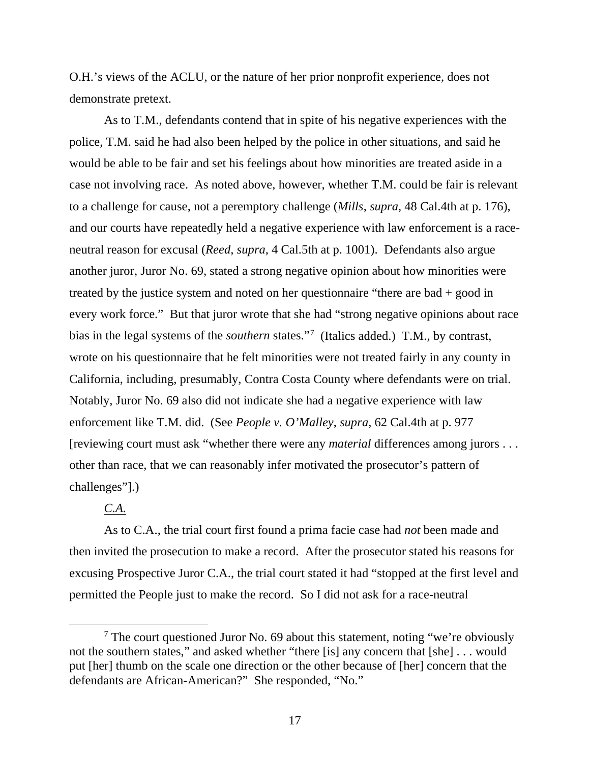O.H.'s views of the ACLU, or the nature of her prior nonprofit experience, does not demonstrate pretext.

As to T.M., defendants contend that in spite of his negative experiences with the police, T.M. said he had also been helped by the police in other situations, and said he would be able to be fair and set his feelings about how minorities are treated aside in a case not involving race. As noted above, however, whether T.M. could be fair is relevant to a challenge for cause, not a peremptory challenge (*Mills*, *supra*, 48 Cal.4th at p. 176), and our courts have repeatedly held a negative experience with law enforcement is a raceneutral reason for excusal (*Reed*, *supra*, 4 Cal.5th at p. 1001). Defendants also argue another juror, Juror No. 69, stated a strong negative opinion about how minorities were treated by the justice system and noted on her questionnaire "there are bad + good in every work force." But that juror wrote that she had "strong negative opinions about race bias in the legal systems of the *southern* states."[7](#page-16-0) (Italics added.) T.M., by contrast, wrote on his questionnaire that he felt minorities were not treated fairly in any county in California, including, presumably, Contra Costa County where defendants were on trial. Notably, Juror No. 69 also did not indicate she had a negative experience with law enforcement like T.M. did. (See *People v. O'Malley*, *supra*, 62 Cal.4th at p. 977 [reviewing court must ask "whether there were any *material* differences among jurors . . . other than race, that we can reasonably infer motivated the prosecutor's pattern of challenges"].)

# *C.A.*

As to C.A., the trial court first found a prima facie case had *not* been made and then invited the prosecution to make a record. After the prosecutor stated his reasons for excusing Prospective Juror C.A., the trial court stated it had "stopped at the first level and permitted the People just to make the record. So I did not ask for a race-neutral

<span id="page-16-0"></span> $7$  The court questioned Juror No. 69 about this statement, noting "we're obviously not the southern states," and asked whether "there [is] any concern that [she] . . . would put [her] thumb on the scale one direction or the other because of [her] concern that the defendants are African-American?" She responded, "No."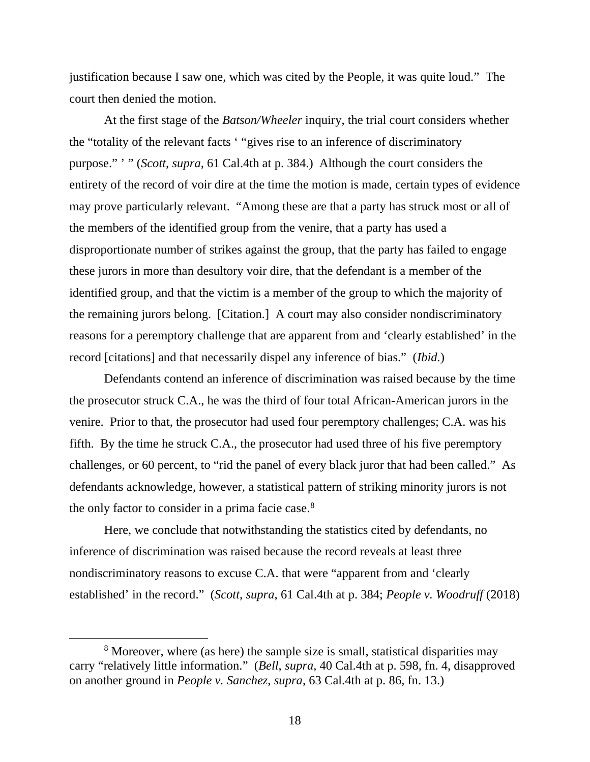justification because I saw one, which was cited by the People, it was quite loud." The court then denied the motion.

At the first stage of the *Batson/Wheeler* inquiry, the trial court considers whether the "totality of the relevant facts ' "gives rise to an inference of discriminatory purpose." ' " (*Scott, supra,* 61 Cal.4th at p. 384.) Although the court considers the entirety of the record of voir dire at the time the motion is made, certain types of evidence may prove particularly relevant. "Among these are that a party has struck most or all of the members of the identified group from the venire, that a party has used a disproportionate number of strikes against the group, that the party has failed to engage these jurors in more than desultory voir dire, that the defendant is a member of the identified group, and that the victim is a member of the group to which the majority of the remaining jurors belong. [Citation.] A court may also consider nondiscriminatory reasons for a peremptory challenge that are apparent from and 'clearly established' in the record [citations] and that necessarily dispel any inference of bias." (*Ibid.*)

Defendants contend an inference of discrimination was raised because by the time the prosecutor struck C.A., he was the third of four total African-American jurors in the venire. Prior to that, the prosecutor had used four peremptory challenges; C.A. was his fifth. By the time he struck C.A., the prosecutor had used three of his five peremptory challenges, or 60 percent, to "rid the panel of every black juror that had been called." As defendants acknowledge, however, a statistical pattern of striking minority jurors is not the only factor to consider in a prima facie case.<sup>[8](#page-17-0)</sup>

Here, we conclude that notwithstanding the statistics cited by defendants, no inference of discrimination was raised because the record reveals at least three nondiscriminatory reasons to excuse C.A. that were "apparent from and 'clearly established' in the record." (*Scott*, *supra*, 61 Cal.4th at p. 384; *People v. Woodruff* (2018)

<span id="page-17-0"></span><sup>&</sup>lt;sup>8</sup> Moreover, where (as here) the sample size is small, statistical disparities may carry "relatively little information." (*Bell*, *supra*, 40 Cal.4th at p. 598, fn. 4, disapproved on another ground in *People v. Sanchez*, *supra*, 63 Cal.4th at p. 86, fn. 13.)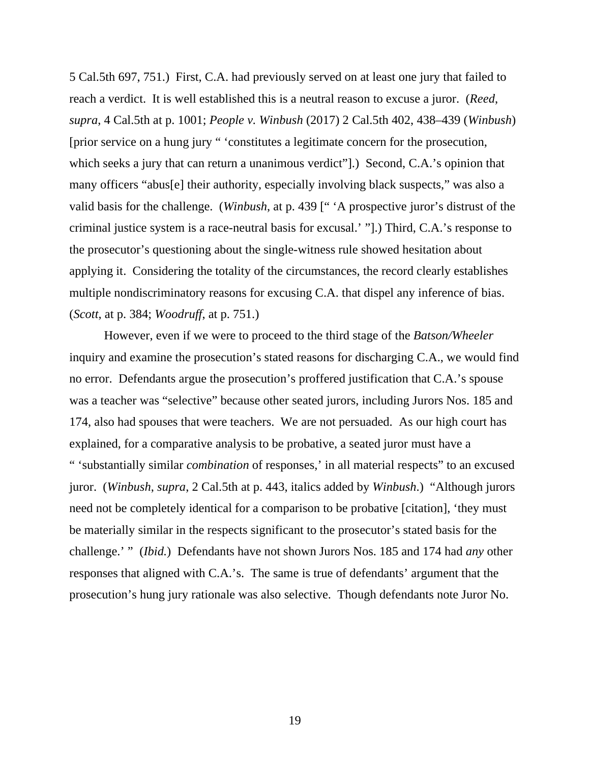5 Cal.5th 697, 751.) First, C.A. had previously served on at least one jury that failed to reach a verdict. It is well established this is a neutral reason to excuse a juror. (*Reed*, *supra*, 4 Cal.5th at p. 1001; *People v. Winbush* (2017) 2 Cal.5th 402, 438–439 (*Winbush*) [prior service on a hung jury " 'constitutes a legitimate concern for the prosecution, which seeks a jury that can return a unanimous verdict"].) Second, C.A.'s opinion that many officers "abus[e] their authority, especially involving black suspects," was also a valid basis for the challenge. (*Winbush*, at p. 439 [" 'A prospective juror's distrust of the criminal justice system is a race-neutral basis for excusal.' "].) Third, C.A.'s response to the prosecutor's questioning about the single-witness rule showed hesitation about applying it. Considering the totality of the circumstances, the record clearly establishes multiple nondiscriminatory reasons for excusing C.A. that dispel any inference of bias. (*Scott*, at p. 384; *Woodruff*, at p. 751.)

However, even if we were to proceed to the third stage of the *Batson/Wheeler*  inquiry and examine the prosecution's stated reasons for discharging C.A., we would find no error. Defendants argue the prosecution's proffered justification that C.A.'s spouse was a teacher was "selective" because other seated jurors, including Jurors Nos. 185 and 174, also had spouses that were teachers. We are not persuaded. As our high court has explained, for a comparative analysis to be probative, a seated juror must have a " 'substantially similar *combination* of responses,' in all material respects" to an excused juror. (*Winbush*, *supra*, 2 Cal.5th at p. 443, italics added by *Winbush*.) "Although jurors need not be completely identical for a comparison to be probative [citation], 'they must be materially similar in the respects significant to the prosecutor's stated basis for the challenge.' " (*Ibid.*) Defendants have not shown Jurors Nos. 185 and 174 had *any* other responses that aligned with C.A.'s. The same is true of defendants' argument that the prosecution's hung jury rationale was also selective. Though defendants note Juror No.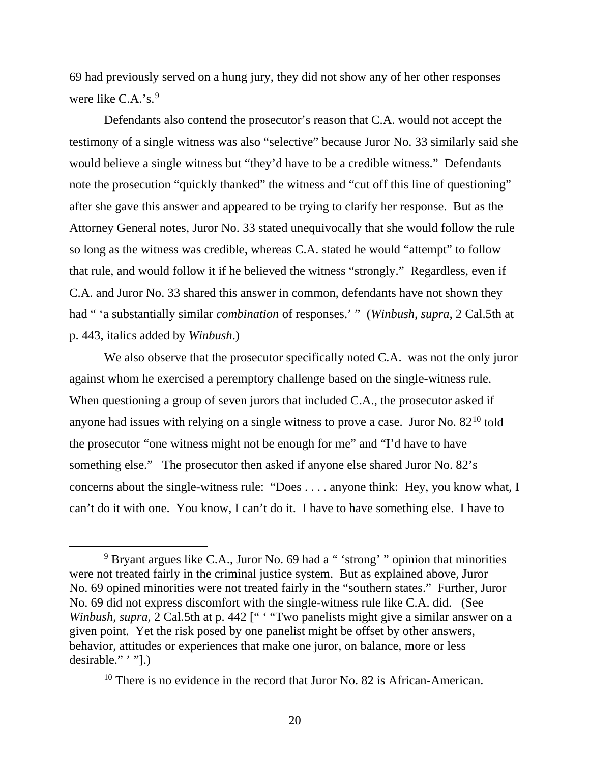69 had previously served on a hung jury, they did not show any of her other responses were like C.A.'s.<sup>[9](#page-19-0)</sup>

Defendants also contend the prosecutor's reason that C.A. would not accept the testimony of a single witness was also "selective" because Juror No. 33 similarly said she would believe a single witness but "they'd have to be a credible witness." Defendants note the prosecution "quickly thanked" the witness and "cut off this line of questioning" after she gave this answer and appeared to be trying to clarify her response. But as the Attorney General notes, Juror No. 33 stated unequivocally that she would follow the rule so long as the witness was credible, whereas C.A. stated he would "attempt" to follow that rule, and would follow it if he believed the witness "strongly." Regardless, even if C.A. and Juror No. 33 shared this answer in common, defendants have not shown they had " 'a substantially similar *combination* of responses.' " (*Winbush, supra,* 2 Cal.5th at p. 443, italics added by *Winbush*.)

We also observe that the prosecutor specifically noted C.A. was not the only juror against whom he exercised a peremptory challenge based on the single-witness rule. When questioning a group of seven jurors that included C.A., the prosecutor asked if anyone had issues with relying on a single witness to prove a case. Juror No.  $82^{10}$  $82^{10}$  $82^{10}$  told the prosecutor "one witness might not be enough for me" and "I'd have to have something else." The prosecutor then asked if anyone else shared Juror No. 82's concerns about the single-witness rule: "Does . . . . anyone think: Hey, you know what, I can't do it with one. You know, I can't do it. I have to have something else. I have to

<span id="page-19-1"></span><sup>10</sup> There is no evidence in the record that Juror No. 82 is African-American.

<span id="page-19-0"></span> $9$  Bryant argues like C.A., Juror No. 69 had a " 'strong' " opinion that minorities were not treated fairly in the criminal justice system. But as explained above, Juror No. 69 opined minorities were not treated fairly in the "southern states." Further, Juror No. 69 did not express discomfort with the single-witness rule like C.A. did. (See *Winbush, supra,* 2 Cal.5th at p. 442 [" ' "Two panelists might give a similar answer on a given point. Yet the risk posed by one panelist might be offset by other answers, behavior, attitudes or experiences that make one juror, on balance, more or less desirable." ' "].)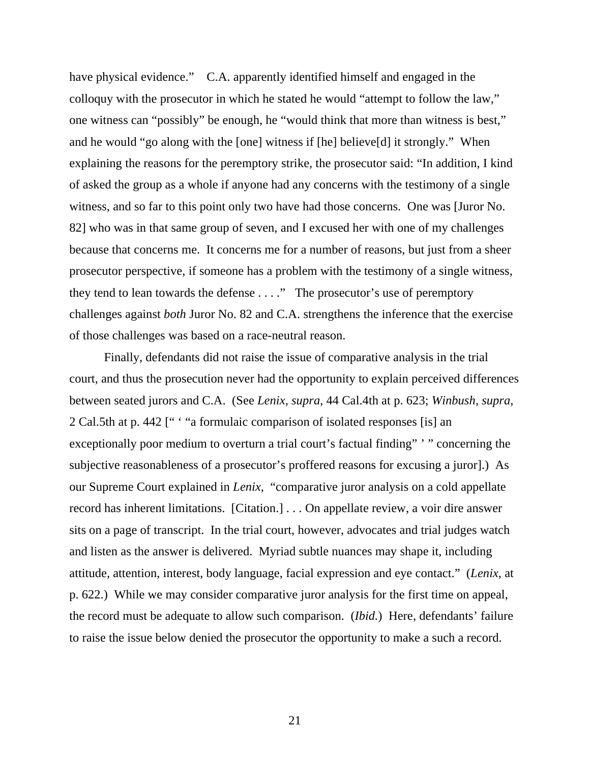have physical evidence." C.A. apparently identified himself and engaged in the colloquy with the prosecutor in which he stated he would "attempt to follow the law," one witness can "possibly" be enough, he "would think that more than witness is best," and he would "go along with the [one] witness if [he] believe[d] it strongly." When explaining the reasons for the peremptory strike, the prosecutor said: "In addition, I kind of asked the group as a whole if anyone had any concerns with the testimony of a single witness, and so far to this point only two have had those concerns. One was [Juror No. 82] who was in that same group of seven, and I excused her with one of my challenges because that concerns me. It concerns me for a number of reasons, but just from a sheer prosecutor perspective, if someone has a problem with the testimony of a single witness, they tend to lean towards the defense . . . ." The prosecutor's use of peremptory challenges against *both* Juror No. 82 and C.A. strengthens the inference that the exercise of those challenges was based on a race-neutral reason.

Finally, defendants did not raise the issue of comparative analysis in the trial court, and thus the prosecution never had the opportunity to explain perceived differences between seated jurors and C.A. (See *Lenix*, *supra*, 44 Cal.4th at p. 623; *Winbush*, *supra*, 2 Cal.5th at p. 442 [" ' "a formulaic comparison of isolated responses [is] an exceptionally poor medium to overturn a trial court's factual finding" '" concerning the subjective reasonableness of a prosecutor's proffered reasons for excusing a juror].) As our Supreme Court explained in *Lenix,* "comparative juror analysis on a cold appellate record has inherent limitations. [Citation.] . . . On appellate review, a voir dire answer sits on a page of transcript. In the trial court, however, advocates and trial judges watch and listen as the answer is delivered. Myriad subtle nuances may shape it, including attitude, attention, interest, body language, facial expression and eye contact." (*Lenix*, at p. 622.) While we may consider comparative juror analysis for the first time on appeal, the record must be adequate to allow such comparison. (*Ibid.*) Here, defendants' failure to raise the issue below denied the prosecutor the opportunity to make a such a record.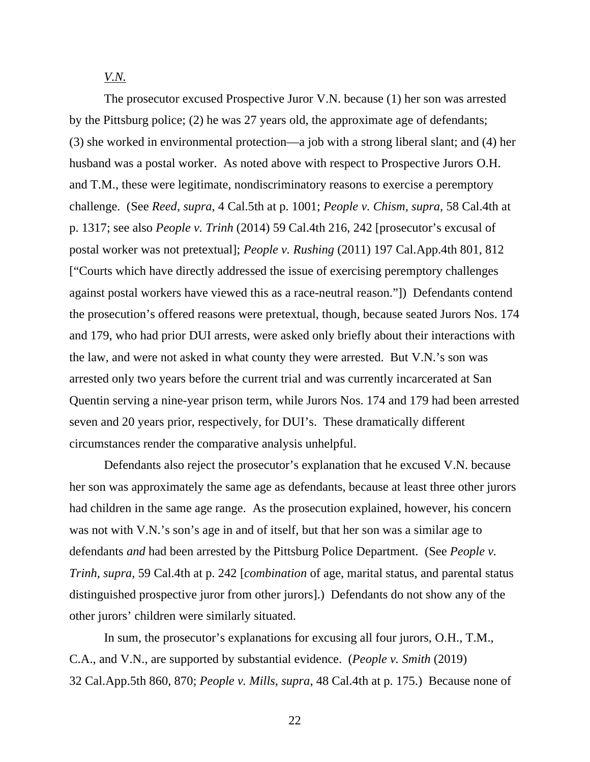*V.N.*

The prosecutor excused Prospective Juror V.N. because (1) her son was arrested by the Pittsburg police; (2) he was 27 years old, the approximate age of defendants; (3) she worked in environmental protection—a job with a strong liberal slant; and (4) her husband was a postal worker. As noted above with respect to Prospective Jurors O.H. and T.M., these were legitimate, nondiscriminatory reasons to exercise a peremptory challenge. (See *Reed*, *supra*, 4 Cal.5th at p. 1001; *People v. Chism, supra,* 58 Cal.4th at p. 1317; see also *People v. Trinh* (2014) 59 Cal.4th 216, 242 [prosecutor's excusal of postal worker was not pretextual]; *People v. Rushing* (2011) 197 Cal.App.4th 801, 812 ["Courts which have directly addressed the issue of exercising peremptory challenges against postal workers have viewed this as a race-neutral reason."]) Defendants contend the prosecution's offered reasons were pretextual, though, because seated Jurors Nos. 174 and 179, who had prior DUI arrests, were asked only briefly about their interactions with the law, and were not asked in what county they were arrested. But V.N.'s son was arrested only two years before the current trial and was currently incarcerated at San Quentin serving a nine-year prison term, while Jurors Nos. 174 and 179 had been arrested seven and 20 years prior, respectively, for DUI's. These dramatically different circumstances render the comparative analysis unhelpful.

Defendants also reject the prosecutor's explanation that he excused V.N. because her son was approximately the same age as defendants, because at least three other jurors had children in the same age range. As the prosecution explained, however, his concern was not with V.N.'s son's age in and of itself, but that her son was a similar age to defendants *and* had been arrested by the Pittsburg Police Department. (See *People v. Trinh, supra,* 59 Cal.4th at p. 242 [*combination* of age, marital status, and parental status distinguished prospective juror from other jurors].) Defendants do not show any of the other jurors' children were similarly situated.

In sum, the prosecutor's explanations for excusing all four jurors, O.H., T.M., C.A., and V.N., are supported by substantial evidence. (*People v. Smith* (2019) 32 Cal.App.5th 860, 870; *People v. Mills, supra*, 48 Cal.4th at p. 175.) Because none of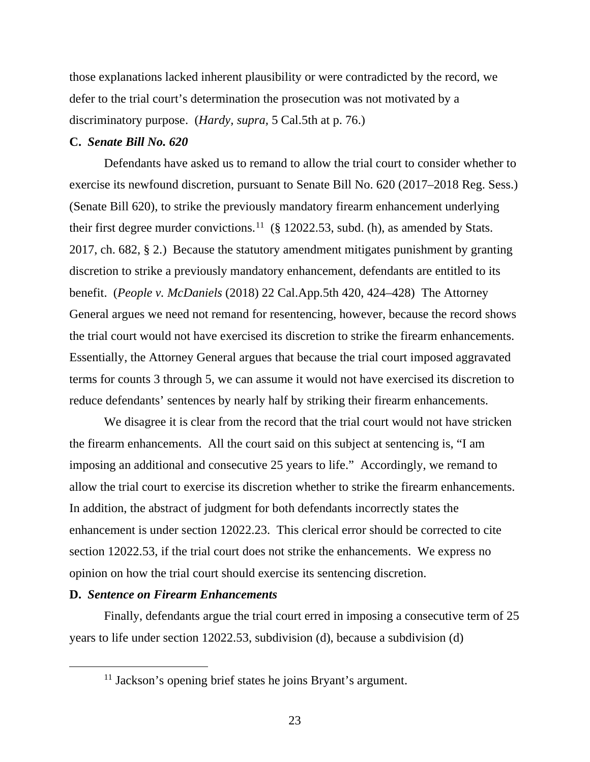those explanations lacked inherent plausibility or were contradicted by the record, we defer to the trial court's determination the prosecution was not motivated by a discriminatory purpose. (*Hardy, supra,* 5 Cal.5th at p. 76.)

## **C.** *Senate Bill No. 620*

Defendants have asked us to remand to allow the trial court to consider whether to exercise its newfound discretion, pursuant to Senate Bill No. 620 (2017–2018 Reg. Sess.) (Senate Bill 620), to strike the previously mandatory firearm enhancement underlying their first degree murder convictions.<sup>[11](#page-22-0)</sup> (§ 12022.53, subd. (h), as amended by Stats. 2017, ch. 682, § 2.) Because the statutory amendment mitigates punishment by granting discretion to strike a previously mandatory enhancement, defendants are entitled to its benefit. (*People v. McDaniels* (2018) 22 Cal.App.5th 420, 424–428) The Attorney General argues we need not remand for resentencing, however, because the record shows the trial court would not have exercised its discretion to strike the firearm enhancements. Essentially, the Attorney General argues that because the trial court imposed aggravated terms for counts 3 through 5, we can assume it would not have exercised its discretion to reduce defendants' sentences by nearly half by striking their firearm enhancements.

We disagree it is clear from the record that the trial court would not have stricken the firearm enhancements. All the court said on this subject at sentencing is, "I am imposing an additional and consecutive 25 years to life." Accordingly, we remand to allow the trial court to exercise its discretion whether to strike the firearm enhancements. In addition, the abstract of judgment for both defendants incorrectly states the enhancement is under section 12022.23. This clerical error should be corrected to cite section 12022.53, if the trial court does not strike the enhancements. We express no opinion on how the trial court should exercise its sentencing discretion.

## **D.** *Sentence on Firearm Enhancements*

<span id="page-22-0"></span>Finally, defendants argue the trial court erred in imposing a consecutive term of 25 years to life under section 12022.53, subdivision (d), because a subdivision (d)

 $11$  Jackson's opening brief states he joins Bryant's argument.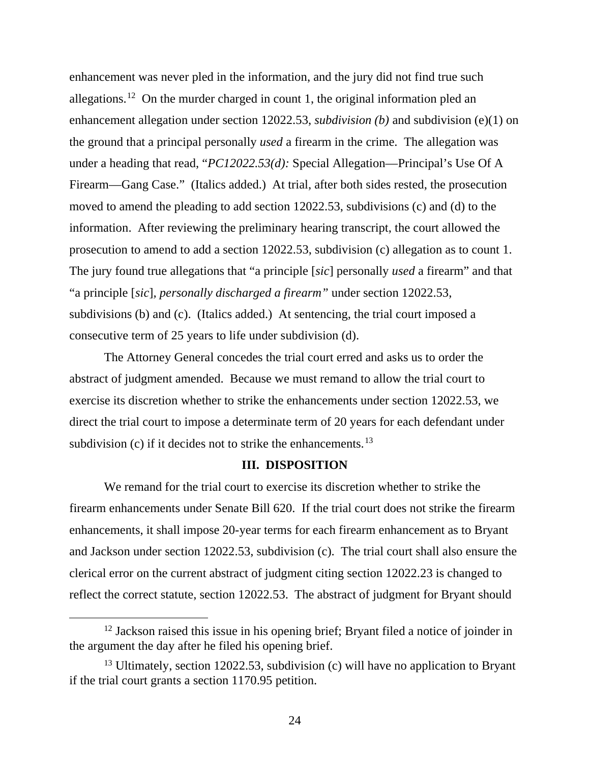enhancement was never pled in the information, and the jury did not find true such allegations. [12](#page-23-0) On the murder charged in count 1, the original information pled an enhancement allegation under section 12022.53, *subdivision (b)* and subdivision (e)(1) on the ground that a principal personally *used* a firearm in the crime. The allegation was under a heading that read, "*PC12022.53(d):* Special Allegation—Principal's Use Of A Firearm—Gang Case." (Italics added.) At trial, after both sides rested, the prosecution moved to amend the pleading to add section 12022.53, subdivisions (c) and (d) to the information. After reviewing the preliminary hearing transcript, the court allowed the prosecution to amend to add a section 12022.53, subdivision (c) allegation as to count 1. The jury found true allegations that "a principle [*sic*] personally *used* a firearm" and that "a principle [*sic*]*, personally discharged a firearm"* under section 12022.53, subdivisions (b) and (c). (Italics added.) At sentencing, the trial court imposed a consecutive term of 25 years to life under subdivision (d).

The Attorney General concedes the trial court erred and asks us to order the abstract of judgment amended. Because we must remand to allow the trial court to exercise its discretion whether to strike the enhancements under section 12022.53, we direct the trial court to impose a determinate term of 20 years for each defendant under subdivision (c) if it decides not to strike the enhancements.<sup>[13](#page-23-1)</sup>

## **III. DISPOSITION**

We remand for the trial court to exercise its discretion whether to strike the firearm enhancements under Senate Bill 620. If the trial court does not strike the firearm enhancements, it shall impose 20-year terms for each firearm enhancement as to Bryant and Jackson under section 12022.53, subdivision (c). The trial court shall also ensure the clerical error on the current abstract of judgment citing section 12022.23 is changed to reflect the correct statute, section 12022.53. The abstract of judgment for Bryant should

<span id="page-23-0"></span> $12$  Jackson raised this issue in his opening brief; Bryant filed a notice of joinder in the argument the day after he filed his opening brief.

<span id="page-23-1"></span> $13$  Ultimately, section 12022.53, subdivision (c) will have no application to Bryant if the trial court grants a section 1170.95 petition.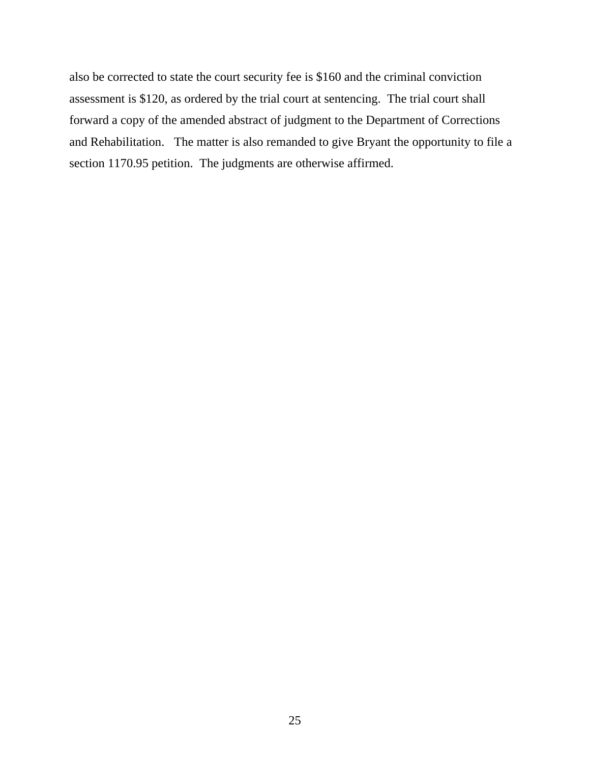also be corrected to state the court security fee is \$160 and the criminal conviction assessment is \$120, as ordered by the trial court at sentencing. The trial court shall forward a copy of the amended abstract of judgment to the Department of Corrections and Rehabilitation. The matter is also remanded to give Bryant the opportunity to file a section 1170.95 petition. The judgments are otherwise affirmed.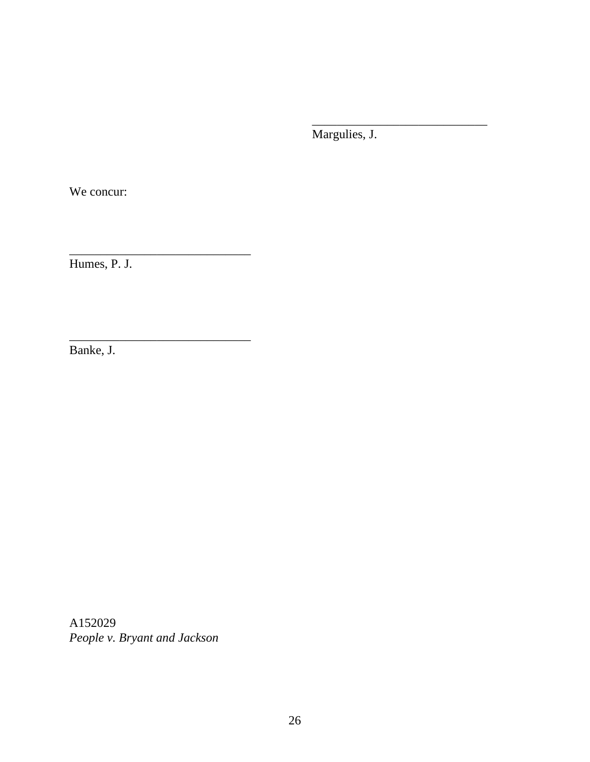Margulies, J.

\_\_\_\_\_\_\_\_\_\_\_\_\_\_\_\_\_\_\_\_\_\_\_\_\_\_\_\_

We concur:

Humes, P. J.

\_\_\_\_\_\_\_\_\_\_\_\_\_\_\_\_\_\_\_\_\_\_\_\_\_\_\_\_\_

\_\_\_\_\_\_\_\_\_\_\_\_\_\_\_\_\_\_\_\_\_\_\_\_\_\_\_\_\_

Banke, J.

A152029 *People v. Bryant and Jackson*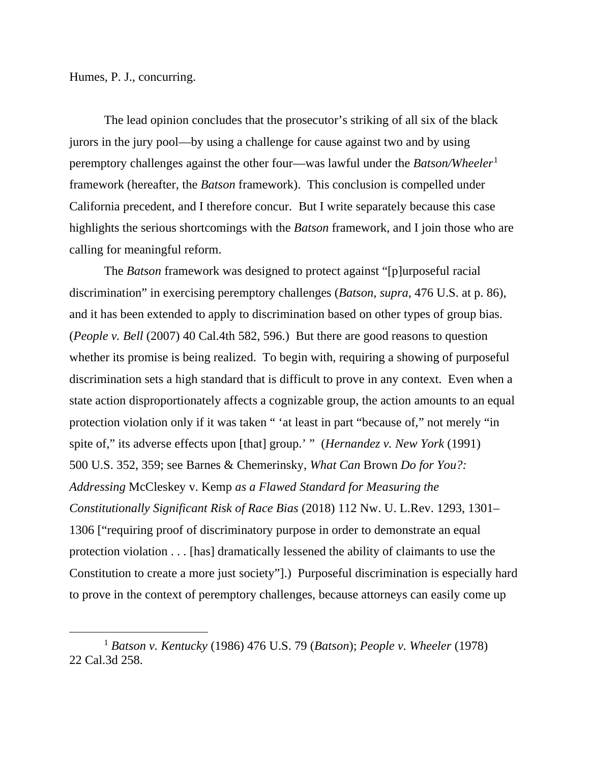Humes, P. J., concurring.

The lead opinion concludes that the prosecutor's striking of all six of the black jurors in the jury pool—by using a challenge for cause against two and by using peremptory challenges against the other four—was lawful under the *Batson/Wheeler*[1](#page-26-0) framework (hereafter, the *Batson* framework). This conclusion is compelled under California precedent, and I therefore concur. But I write separately because this case highlights the serious shortcomings with the *Batson* framework, and I join those who are calling for meaningful reform.

The *Batson* framework was designed to protect against "[p]urposeful racial discrimination" in exercising peremptory challenges (*Batson*, *supra*, 476 U.S. at p. 86), and it has been extended to apply to discrimination based on other types of group bias. (*People v. Bell* (2007) 40 Cal.4th 582, 596.) But there are good reasons to question whether its promise is being realized. To begin with, requiring a showing of purposeful discrimination sets a high standard that is difficult to prove in any context. Even when a state action disproportionately affects a cognizable group, the action amounts to an equal protection violation only if it was taken " 'at least in part "because of," not merely "in spite of," its adverse effects upon [that] group.' " (*Hernandez v. New York* (1991) 500 U.S. 352, 359; see Barnes & Chemerinsky, *What Can* Brown *Do for You?: Addressing* McCleskey v. Kemp *as a Flawed Standard for Measuring the Constitutionally Significant Risk of Race Bias* (2018) 112 Nw. U. L.Rev. 1293, 1301– 1306 ["requiring proof of discriminatory purpose in order to demonstrate an equal protection violation . . . [has] dramatically lessened the ability of claimants to use the Constitution to create a more just society"].) Purposeful discrimination is especially hard to prove in the context of peremptory challenges, because attorneys can easily come up

<span id="page-26-0"></span><sup>1</sup> *Batson v. Kentucky* (1986) 476 U.S. 79 (*Batson*); *People v. Wheeler* (1978) 22 Cal.3d 258.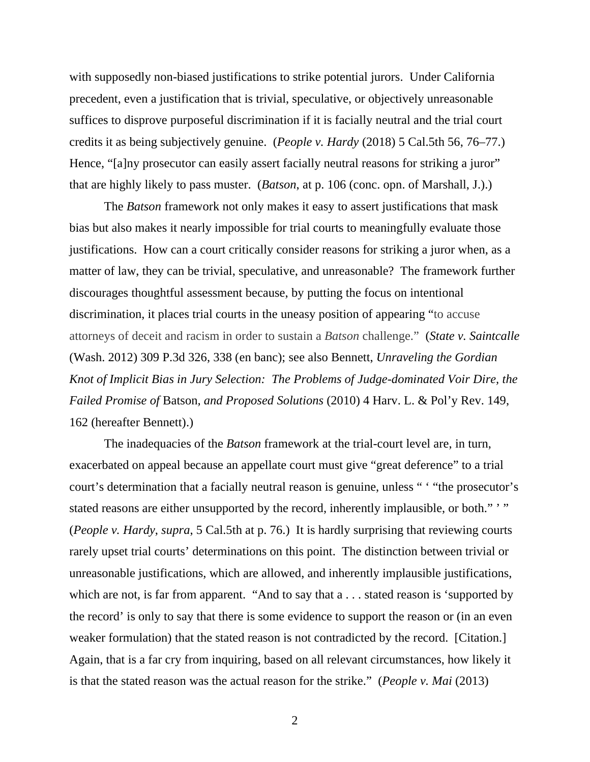with supposedly non-biased justifications to strike potential jurors. Under California precedent, even a justification that is trivial, speculative, or objectively unreasonable suffices to disprove purposeful discrimination if it is facially neutral and the trial court credits it as being subjectively genuine. (*People v. Hardy* (2018) 5 Cal.5th 56, 76–77.) Hence, "[a]ny prosecutor can easily assert facially neutral reasons for striking a juror" that are highly likely to pass muster. (*Batson*, at p. 106 (conc. opn. of Marshall, J.).)

The *Batson* framework not only makes it easy to assert justifications that mask bias but also makes it nearly impossible for trial courts to meaningfully evaluate those justifications. How can a court critically consider reasons for striking a juror when, as a matter of law, they can be trivial, speculative, and unreasonable? The framework further discourages thoughtful assessment because, by putting the focus on intentional discrimination, it places trial courts in the uneasy position of appearing "to accuse attorneys of deceit and racism in order to sustain a *Batson* challenge." (*State v. Saintcalle* (Wash. 2012) 309 P.3d 326, 338 (en banc); see also Bennett, *Unraveling the Gordian Knot of Implicit Bias in Jury Selection: The Problems of Judge-dominated Voir Dire, the Failed Promise of* Batson*, and Proposed Solutions* (2010) 4 Harv. L. & Pol'y Rev. 149, 162 (hereafter Bennett).)

The inadequacies of the *Batson* framework at the trial-court level are, in turn, exacerbated on appeal because an appellate court must give "great deference" to a trial court's determination that a facially neutral reason is genuine, unless " ' "the prosecutor's stated reasons are either unsupported by the record, inherently implausible, or both." '" (*People v. Hardy*, *supra*, 5 Cal.5th at p. 76.) It is hardly surprising that reviewing courts rarely upset trial courts' determinations on this point. The distinction between trivial or unreasonable justifications, which are allowed, and inherently implausible justifications, which are not, is far from apparent. "And to say that a . . . stated reason is 'supported by the record' is only to say that there is some evidence to support the reason or (in an even weaker formulation) that the stated reason is not contradicted by the record. [Citation.] Again, that is a far cry from inquiring, based on all relevant circumstances, how likely it is that the stated reason was the actual reason for the strike." (*People v. Mai* (2013)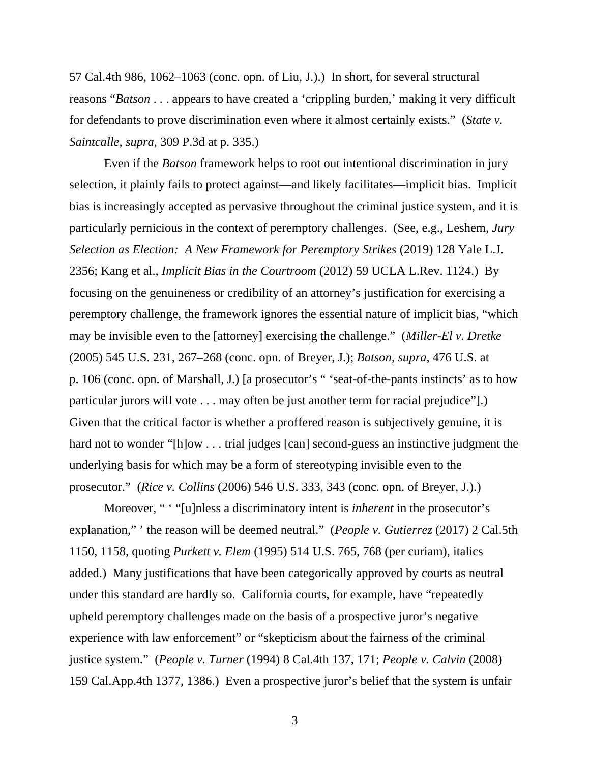57 Cal.4th 986, 1062–1063 (conc. opn. of Liu, J.).) In short, for several structural reasons "*Batson* . . . appears to have created a 'crippling burden,' making it very difficult for defendants to prove discrimination even where it almost certainly exists." (*State v. Saintcalle*, *supra*, 309 P.3d at p. 335.)

Even if the *Batson* framework helps to root out intentional discrimination in jury selection, it plainly fails to protect against—and likely facilitates—implicit bias. Implicit bias is increasingly accepted as pervasive throughout the criminal justice system, and it is particularly pernicious in the context of peremptory challenges. (See, e.g., Leshem, *Jury Selection as Election: A New Framework for Peremptory Strikes* (2019) 128 Yale L.J. 2356; Kang et al., *Implicit Bias in the Courtroom* (2012) 59 UCLA L.Rev. 1124.) By focusing on the genuineness or credibility of an attorney's justification for exercising a peremptory challenge, the framework ignores the essential nature of implicit bias, "which may be invisible even to the [attorney] exercising the challenge." (*Miller-El v. Dretke* (2005) 545 U.S. 231, 267–268 (conc. opn. of Breyer, J.); *Batson*, *supra*, 476 U.S. at p. 106 (conc. opn. of Marshall, J.) [a prosecutor's " 'seat-of-the-pants instincts' as to how particular jurors will vote . . . may often be just another term for racial prejudice"].) Given that the critical factor is whether a proffered reason is subjectively genuine, it is hard not to wonder "[h]ow . . . trial judges [can] second-guess an instinctive judgment the underlying basis for which may be a form of stereotyping invisible even to the prosecutor." (*Rice v. Collins* (2006) 546 U.S. 333, 343 (conc. opn. of Breyer, J.).)

Moreover, " ' "[u]nless a discriminatory intent is *inherent* in the prosecutor's explanation," ' the reason will be deemed neutral." (*People v. Gutierrez* (2017) 2 Cal.5th 1150, 1158, quoting *Purkett v. Elem* (1995) 514 U.S. 765, 768 (per curiam), italics added.) Many justifications that have been categorically approved by courts as neutral under this standard are hardly so. California courts, for example, have "repeatedly upheld peremptory challenges made on the basis of a prospective juror's negative experience with law enforcement" or "skepticism about the fairness of the criminal justice system." (*People v. Turner* (1994) 8 Cal.4th 137, 171; *People v. Calvin* (2008) 159 Cal.App.4th 1377, 1386.) Even a prospective juror's belief that the system is unfair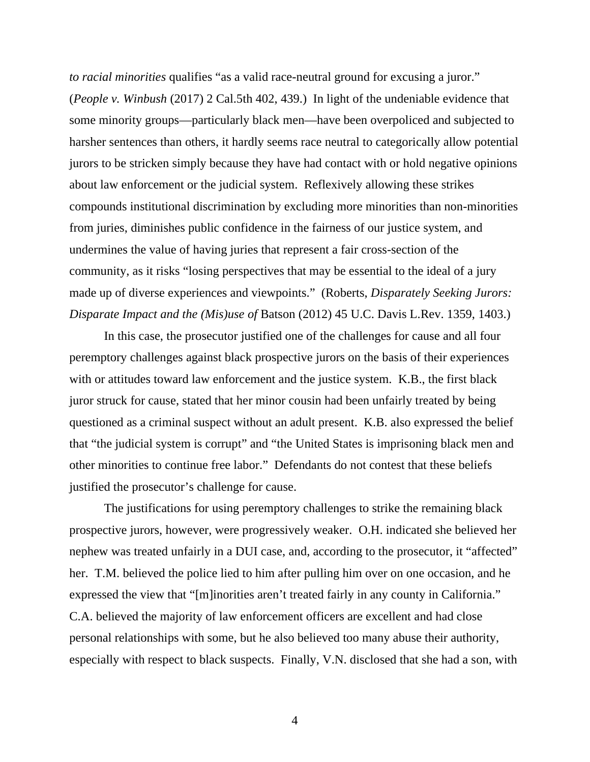*to racial minorities* qualifies "as a valid race-neutral ground for excusing a juror." (*People v. Winbush* (2017) 2 Cal.5th 402, 439.)In light of the undeniable evidence that some minority groups—particularly black men—have been overpoliced and subjected to harsher sentences than others, it hardly seems race neutral to categorically allow potential jurors to be stricken simply because they have had contact with or hold negative opinions about law enforcement or the judicial system. Reflexively allowing these strikes compounds institutional discrimination by excluding more minorities than non-minorities from juries, diminishes public confidence in the fairness of our justice system, and undermines the value of having juries that represent a fair cross-section of the community, as it risks "losing perspectives that may be essential to the ideal of a jury made up of diverse experiences and viewpoints." (Roberts, *Disparately Seeking Jurors: Disparate Impact and the (Mis)use of* Batson (2012) 45 U.C. Davis L.Rev. 1359, 1403.)

In this case, the prosecutor justified one of the challenges for cause and all four peremptory challenges against black prospective jurors on the basis of their experiences with or attitudes toward law enforcement and the justice system. K.B., the first black juror struck for cause, stated that her minor cousin had been unfairly treated by being questioned as a criminal suspect without an adult present. K.B. also expressed the belief that "the judicial system is corrupt" and "the United States is imprisoning black men and other minorities to continue free labor." Defendants do not contest that these beliefs justified the prosecutor's challenge for cause.

The justifications for using peremptory challenges to strike the remaining black prospective jurors, however, were progressively weaker. O.H. indicated she believed her nephew was treated unfairly in a DUI case, and, according to the prosecutor, it "affected" her. T.M. believed the police lied to him after pulling him over on one occasion, and he expressed the view that "[m]inorities aren't treated fairly in any county in California." C.A. believed the majority of law enforcement officers are excellent and had close personal relationships with some, but he also believed too many abuse their authority, especially with respect to black suspects. Finally, V.N. disclosed that she had a son, with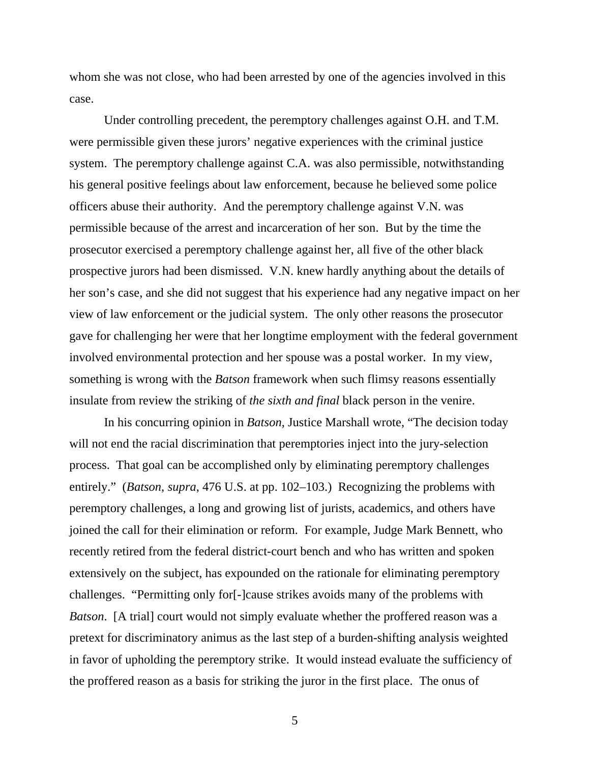whom she was not close, who had been arrested by one of the agencies involved in this case.

Under controlling precedent, the peremptory challenges against O.H. and T.M. were permissible given these jurors' negative experiences with the criminal justice system. The peremptory challenge against C.A. was also permissible, notwithstanding his general positive feelings about law enforcement, because he believed some police officers abuse their authority. And the peremptory challenge against V.N. was permissible because of the arrest and incarceration of her son. But by the time the prosecutor exercised a peremptory challenge against her, all five of the other black prospective jurors had been dismissed. V.N. knew hardly anything about the details of her son's case, and she did not suggest that his experience had any negative impact on her view of law enforcement or the judicial system. The only other reasons the prosecutor gave for challenging her were that her longtime employment with the federal government involved environmental protection and her spouse was a postal worker. In my view, something is wrong with the *Batson* framework when such flimsy reasons essentially insulate from review the striking of *the sixth and final* black person in the venire.

In his concurring opinion in *Batson*, Justice Marshall wrote, "The decision today will not end the racial discrimination that peremptories inject into the jury-selection process. That goal can be accomplished only by eliminating peremptory challenges entirely." (*Batson*, *supra*, 476 U.S. at pp. 102–103.) Recognizing the problems with peremptory challenges, a long and growing list of jurists, academics, and others have joined the call for their elimination or reform. For example, Judge Mark Bennett, who recently retired from the federal district-court bench and who has written and spoken extensively on the subject, has expounded on the rationale for eliminating peremptory challenges. "Permitting only for[-]cause strikes avoids many of the problems with *Batson*. [A trial] court would not simply evaluate whether the proffered reason was a pretext for discriminatory animus as the last step of a burden-shifting analysis weighted in favor of upholding the peremptory strike. It would instead evaluate the sufficiency of the proffered reason as a basis for striking the juror in the first place. The onus of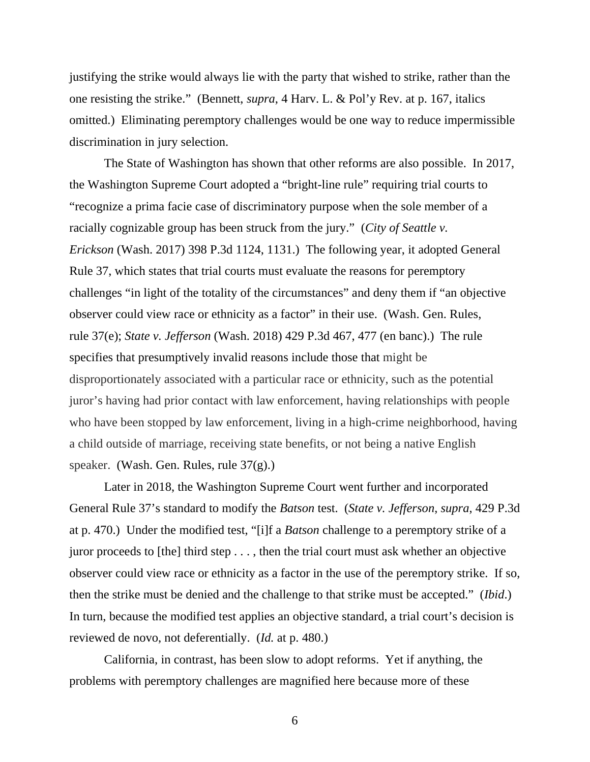justifying the strike would always lie with the party that wished to strike, rather than the one resisting the strike." (Bennett, *supra*, 4 Harv. L. & Pol'y Rev. at p. 167, italics omitted.) Eliminating peremptory challenges would be one way to reduce impermissible discrimination in jury selection.

The State of Washington has shown that other reforms are also possible. In 2017, the Washington Supreme Court adopted a "bright-line rule" requiring trial courts to "recognize a prima facie case of discriminatory purpose when the sole member of a racially cognizable group has been struck from the jury." (*City of Seattle v. Erickson* (Wash. 2017) 398 P.3d 1124, 1131.) The following year, it adopted General Rule 37, which states that trial courts must evaluate the reasons for peremptory challenges "in light of the totality of the circumstances" and deny them if "an objective observer could view race or ethnicity as a factor" in their use. (Wash. Gen. Rules, rule 37(e); *State v. Jefferson* (Wash. 2018) 429 P.3d 467, 477 (en banc).) The rule specifies that presumptively invalid reasons include those that might be disproportionately associated with a particular race or ethnicity, such as the potential juror's having had prior contact with law enforcement, having relationships with people who have been stopped by law enforcement, living in a high-crime neighborhood, having a child outside of marriage, receiving state benefits, or not being a native English speaker. (Wash. Gen. Rules, rule 37(g).)

Later in 2018, the Washington Supreme Court went further and incorporated General Rule 37's standard to modify the *Batson* test. (*State v. Jefferson*, *supra*, 429 P.3d at p. 470.) Under the modified test, "[i]f a *Batson* challenge to a peremptory strike of a juror proceeds to [the] third step . . . , then the trial court must ask whether an objective observer could view race or ethnicity as a factor in the use of the peremptory strike. If so, then the strike must be denied and the challenge to that strike must be accepted." (*Ibid*.) In turn, because the modified test applies an objective standard, a trial court's decision is reviewed de novo, not deferentially. (*Id.* at p. 480.)

California, in contrast, has been slow to adopt reforms. Yet if anything, the problems with peremptory challenges are magnified here because more of these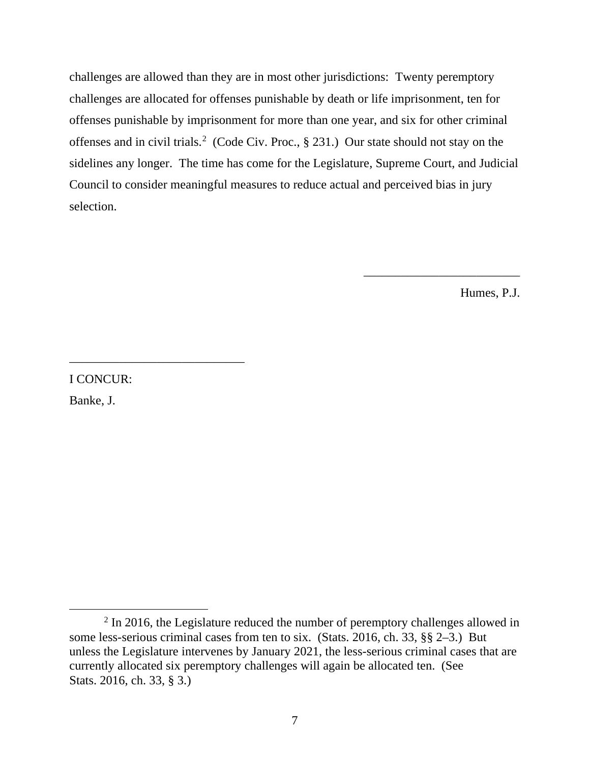challenges are allowed than they are in most other jurisdictions: Twenty peremptory challenges are allocated for offenses punishable by death or life imprisonment, ten for offenses punishable by imprisonment for more than one year, and six for other criminal offenses and in civil trials.<sup>[2](#page-32-0)</sup> (Code Civ. Proc., § 231.) Our state should not stay on the sidelines any longer. The time has come for the Legislature, Supreme Court, and Judicial Council to consider meaningful measures to reduce actual and perceived bias in jury selection.

Humes, P.J.

\_\_\_\_\_\_\_\_\_\_\_\_\_\_\_\_\_\_\_\_\_\_\_\_\_

I CONCUR:

\_\_\_\_\_\_\_\_\_\_\_\_\_\_\_\_\_\_\_\_\_\_\_\_\_\_\_\_

Banke, J.

<span id="page-32-0"></span> $2$  In 2016, the Legislature reduced the number of peremptory challenges allowed in some less-serious criminal cases from ten to six. (Stats. 2016, ch. 33, §§ 2–3.) But unless the Legislature intervenes by January 2021, the less-serious criminal cases that are currently allocated six peremptory challenges will again be allocated ten. (See Stats. 2016, ch. 33, § 3.)